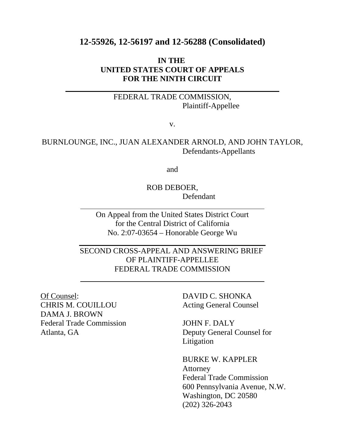# **12-55926, 12-56197 and 12-56288 (Consolidated)**

# **IN THE UNITED STATES COURT OF APPEALS FOR THE NINTH CIRCUIT**

# FEDERAL TRADE COMMISSION, Plaintiff-Appellee

v.

# BURNLOUNGE, INC., JUAN ALEXANDER ARNOLD, AND JOHN TAYLOR, Defendants-Appellants

and

ROB DEBOER, Defendant

On Appeal from the United States District Court for the Central District of California No. 2:07-03654 – Honorable George Wu

SECOND CROSS-APPEAL AND ANSWERING BRIEF OF PLAINTIFF-APPELLEE FEDERAL TRADE COMMISSION

CHRIS M. COUILLOU Acting General Counsel DAMA J. BROWN Federal Trade Commission JOHN F. DALY

 $\overline{a}$ 

l

Of Counsel: DAVID C. SHONKA

Atlanta, GA Deputy General Counsel for Litigation

> BURKE W. KAPPLER Attorney Federal Trade Commission 600 Pennsylvania Avenue, N.W. Washington, DC 20580 (202) 326-2043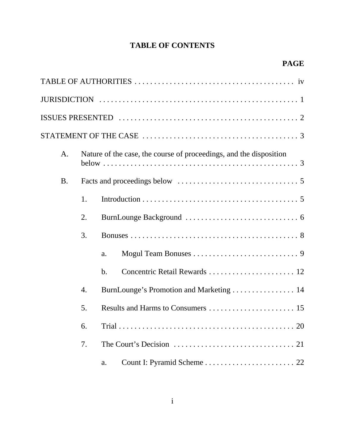# **TABLE OF CONTENTS**

| A <sub>1</sub> |                  | Nature of the case, the course of proceedings, and the disposition |
|----------------|------------------|--------------------------------------------------------------------|
| <b>B.</b>      |                  |                                                                    |
|                | 1.               |                                                                    |
|                | 2.               |                                                                    |
|                | 3.               |                                                                    |
|                |                  | a.                                                                 |
|                |                  | $\mathbf b$ .                                                      |
|                | $\overline{4}$ . | BurnLounge's Promotion and Marketing  14                           |
|                | 5.               |                                                                    |
|                | 6.               |                                                                    |
|                | 7.               |                                                                    |
|                |                  | a.                                                                 |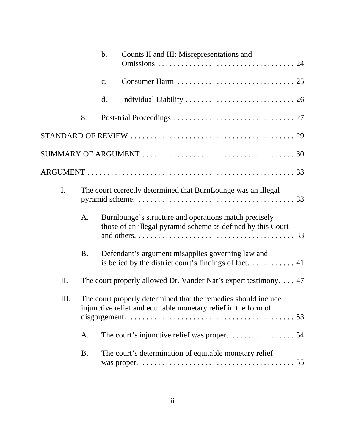|     |           | b. | Counts II and III: Misrepresentations and                                                                                        |  |
|-----|-----------|----|----------------------------------------------------------------------------------------------------------------------------------|--|
|     |           | c. |                                                                                                                                  |  |
|     |           | d. |                                                                                                                                  |  |
|     | 8.        |    |                                                                                                                                  |  |
|     |           |    |                                                                                                                                  |  |
|     |           |    |                                                                                                                                  |  |
|     |           |    |                                                                                                                                  |  |
| I.  |           |    | The court correctly determined that BurnLounge was an illegal                                                                    |  |
|     | A.        |    | Burnlounge's structure and operations match precisely<br>those of an illegal pyramid scheme as defined by this Court             |  |
|     | <b>B.</b> |    | Defendant's argument misapplies governing law and<br>is belied by the district court's findings of fact. 41                      |  |
| II. |           |    | The court properly allowed Dr. Vander Nat's expert testimony. 47                                                                 |  |
| Ш.  |           |    | The court properly determined that the remedies should include<br>injunctive relief and equitable monetary relief in the form of |  |
|     | A.        |    | The court's injunctive relief was proper. $\dots \dots \dots \dots \dots$ 54                                                     |  |
|     | <b>B.</b> |    | The court's determination of equitable monetary relief                                                                           |  |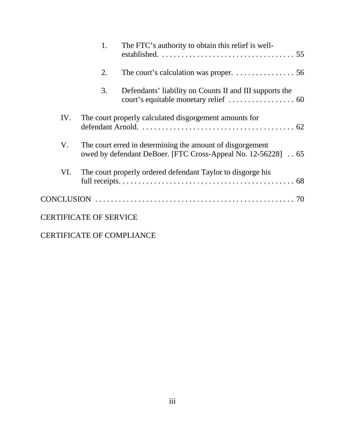|     | 1.                            | The FTC's authority to obtain this relief is well-                                                                        |
|-----|-------------------------------|---------------------------------------------------------------------------------------------------------------------------|
|     | 2.                            | The court's calculation was proper. $\dots \dots \dots \dots \dots$ 56                                                    |
|     | 3.                            | Defendants' liability on Counts II and III supports the                                                                   |
| IV. |                               | The court properly calculated disgorgement amounts for                                                                    |
| V.  |                               | The court erred in determining the amount of disgorgement<br>owed by defendant DeBoer. [FTC Cross-Appeal No. 12-56228] 65 |
| VI. |                               | The court properly ordered defendant Taylor to disgorge his                                                               |
|     |                               |                                                                                                                           |
|     | <b>CERTIFICATE OF SERVICE</b> |                                                                                                                           |

# CERTIFICATE OF COMPLIANCE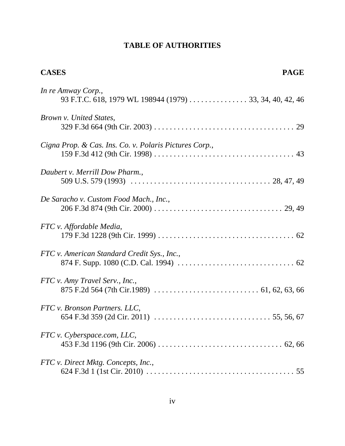# **TABLE OF AUTHORITIES**

| <b>CASES</b>                                                                  | <b>PAGE</b> |
|-------------------------------------------------------------------------------|-------------|
| In re Amway Corp.,<br>93 F.T.C. 618, 1979 WL 198944 (1979) 33, 34, 40, 42, 46 |             |
| <i>Brown v. United States,</i>                                                |             |
| Cigna Prop. & Cas. Ins. Co. v. Polaris Pictures Corp.,                        |             |
| Daubert v. Merrill Dow Pharm.,                                                |             |
| De Saracho v. Custom Food Mach., Inc.,                                        |             |
| FTC v. Affordable Media,                                                      |             |
| FTC v. American Standard Credit Sys., Inc.,                                   |             |
| FTC v. Amy Travel Serv., Inc.,                                                |             |
| FTC v. Bronson Partners. LLC,                                                 |             |
| FTC v. Cyberspace.com, LLC,                                                   |             |
| FTC v. Direct Mktg. Concepts, Inc.,                                           |             |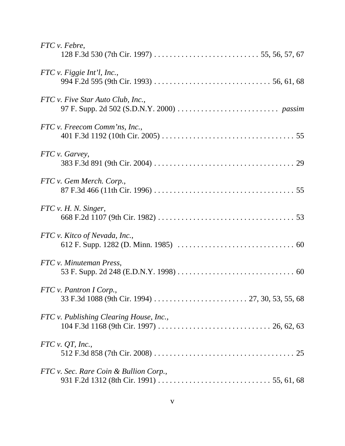| FTC v. Febre,                           |
|-----------------------------------------|
| $FTC v.$ Figgie Int'l, Inc.,            |
| FTC v. Five Star Auto Club, Inc.,       |
| FTC v. Freecom Comm'ns, Inc.,           |
| FTC v. Garvey,                          |
| FTC v. Gem Merch. Corp.,                |
| FTC v. H. N. Singer,                    |
| FTC v. Kitco of Nevada, Inc.,           |
| FTC v. Minuteman Press,                 |
| FTC v. Pantron I Corp.,                 |
| FTC v. Publishing Clearing House, Inc., |
| FTC v. QT. Inc.,                        |
| FTC v. Sec. Rare Coin & Bullion Corp.,  |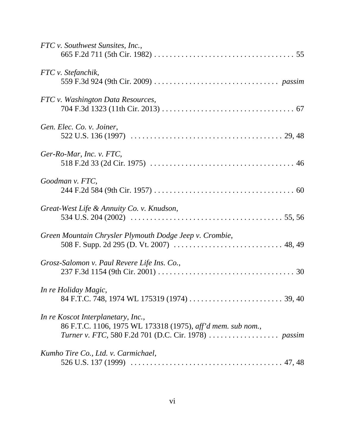| FTC v. Southwest Sunsites, Inc.,                                                                  |
|---------------------------------------------------------------------------------------------------|
| FTC v. Stefanchik,                                                                                |
| FTC v. Washington Data Resources,                                                                 |
| Gen. Elec. Co. v. Joiner,                                                                         |
| Ger-Ro-Mar, Inc. v. FTC,                                                                          |
| Goodman v. FTC,                                                                                   |
| Great-West Life & Annuity Co. v. Knudson,                                                         |
| Green Mountain Chrysler Plymouth Dodge Jeep v. Crombie,                                           |
| Grosz-Salomon v. Paul Revere Life Ins. Co.,                                                       |
| In re Holiday Magic,                                                                              |
| In re Koscot Interplanetary, Inc.,<br>86 F.T.C. 1106, 1975 WL 173318 (1975), aff'd mem. sub nom., |
| Kumho Tire Co., Ltd. v. Carmichael,                                                               |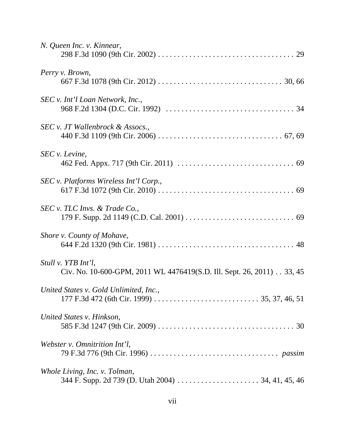| N. Queen Inc. v. Kinnear,                                                                    |
|----------------------------------------------------------------------------------------------|
| Perry v. Brown,                                                                              |
| SEC v. Int'l Loan Network, Inc.,                                                             |
| SEC v. JT Wallenbrock & Assocs.,                                                             |
| SEC v. Levine,                                                                               |
| SEC v. Platforms Wireless Int'l Corp.,                                                       |
| SEC v. TLC Invs. & Trade Co.,                                                                |
| Shore v. County of Mohave,                                                                   |
| Stull v. YTB Int'l,<br>Civ. No. 10-600-GPM, 2011 WL 4476419(S.D. Ill. Sept. 26, 2011) 33, 45 |
| United States v. Gold Unlimited, Inc.,                                                       |
| United States v. Hinkson,                                                                    |
| Webster v. Omnitrition Int'l,                                                                |
| Whole Living, Inc. v. Tolman,                                                                |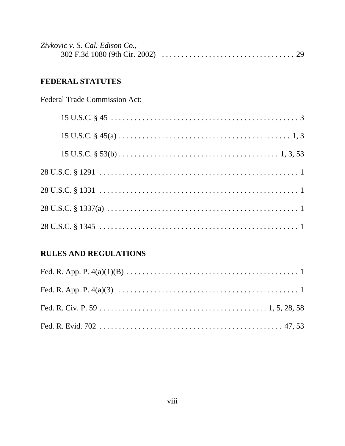| Zivkovic v. S. Cal. Edison Co., |  |
|---------------------------------|--|
|                                 |  |

# FEDERAL STATUTES

**Federal Trade Commission Act:** 

# **RULES AND REGULATIONS**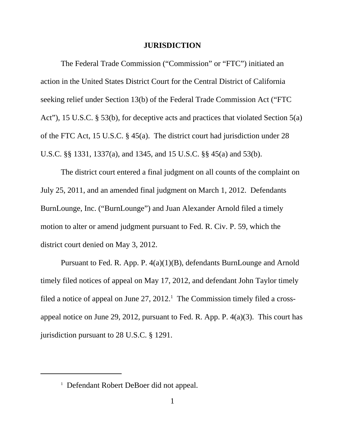#### **JURISDICTION**

The Federal Trade Commission ("Commission" or "FTC") initiated an action in the United States District Court for the Central District of California seeking relief under Section 13(b) of the Federal Trade Commission Act ("FTC Act"), 15 U.S.C. § 53(b), for deceptive acts and practices that violated Section 5(a) of the FTC Act, 15 U.S.C. § 45(a). The district court had jurisdiction under 28 U.S.C. §§ 1331, 1337(a), and 1345, and 15 U.S.C. §§ 45(a) and 53(b).

The district court entered a final judgment on all counts of the complaint on July 25, 2011, and an amended final judgment on March 1, 2012. Defendants BurnLounge, Inc. ("BurnLounge") and Juan Alexander Arnold filed a timely motion to alter or amend judgment pursuant to Fed. R. Civ. P. 59, which the district court denied on May 3, 2012.

Pursuant to Fed. R. App. P. 4(a)(1)(B), defendants BurnLounge and Arnold timely filed notices of appeal on May 17, 2012, and defendant John Taylor timely filed a notice of appeal on June  $27, 2012$ .<sup>1</sup> The Commission timely filed a crossappeal notice on June 29, 2012, pursuant to Fed. R. App. P. 4(a)(3). This court has jurisdiction pursuant to 28 U.S.C. § 1291.

<sup>&</sup>lt;sup>1</sup> Defendant Robert DeBoer did not appeal.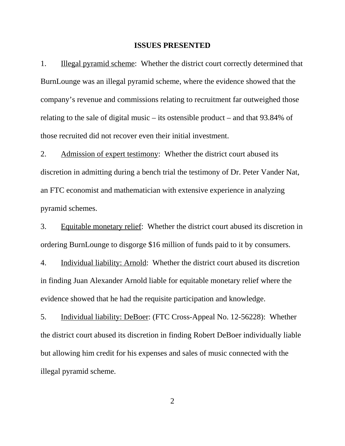#### **ISSUES PRESENTED**

1. Illegal pyramid scheme: Whether the district court correctly determined that BurnLounge was an illegal pyramid scheme, where the evidence showed that the company's revenue and commissions relating to recruitment far outweighed those relating to the sale of digital music – its ostensible product – and that 93.84% of those recruited did not recover even their initial investment.

2. Admission of expert testimony: Whether the district court abused its discretion in admitting during a bench trial the testimony of Dr. Peter Vander Nat, an FTC economist and mathematician with extensive experience in analyzing pyramid schemes.

3. Equitable monetary relief: Whether the district court abused its discretion in ordering BurnLounge to disgorge \$16 million of funds paid to it by consumers.

4. Individual liability: Arnold: Whether the district court abused its discretion in finding Juan Alexander Arnold liable for equitable monetary relief where the evidence showed that he had the requisite participation and knowledge.

5. Individual liability: DeBoer: (FTC Cross-Appeal No. 12-56228): Whether the district court abused its discretion in finding Robert DeBoer individually liable but allowing him credit for his expenses and sales of music connected with the illegal pyramid scheme.

2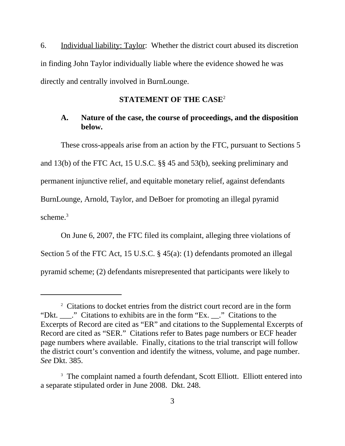6. Individual liability: Taylor: Whether the district court abused its discretion in finding John Taylor individually liable where the evidence showed he was directly and centrally involved in BurnLounge.

## **STATEMENT OF THE CASE**<sup>2</sup>

# **A. Nature of the case, the course of proceedings, and the disposition below.**

These cross-appeals arise from an action by the FTC, pursuant to Sections 5 and 13(b) of the FTC Act, 15 U.S.C. §§ 45 and 53(b), seeking preliminary and permanent injunctive relief, and equitable monetary relief, against defendants BurnLounge, Arnold, Taylor, and DeBoer for promoting an illegal pyramid scheme. $3$ 

On June 6, 2007, the FTC filed its complaint, alleging three violations of Section 5 of the FTC Act, 15 U.S.C. § 45(a): (1) defendants promoted an illegal pyramid scheme; (2) defendants misrepresented that participants were likely to

<sup>&</sup>lt;sup>2</sup> Citations to docket entries from the district court record are in the form "Dkt. \_\_\_." Citations to exhibits are in the form "Ex. \_\_." Citations to the Excerpts of Record are cited as "ER" and citations to the Supplemental Excerpts of Record are cited as "SER." Citations refer to Bates page numbers or ECF header page numbers where available. Finally, citations to the trial transcript will follow the district court's convention and identify the witness, volume, and page number. *See* Dkt. 385.

<sup>&</sup>lt;sup>3</sup> The complaint named a fourth defendant, Scott Elliott. Elliott entered into a separate stipulated order in June 2008. Dkt. 248.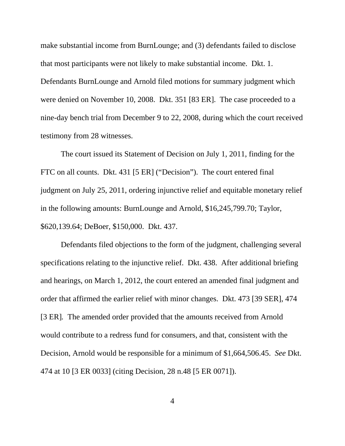make substantial income from BurnLounge; and (3) defendants failed to disclose that most participants were not likely to make substantial income. Dkt. 1. Defendants BurnLounge and Arnold filed motions for summary judgment which were denied on November 10, 2008. Dkt. 351 [83 ER]. The case proceeded to a nine-day bench trial from December 9 to 22, 2008, during which the court received testimony from 28 witnesses.

The court issued its Statement of Decision on July 1, 2011, finding for the FTC on all counts. Dkt. 431 [5 ER] ("Decision"). The court entered final judgment on July 25, 2011, ordering injunctive relief and equitable monetary relief in the following amounts: BurnLounge and Arnold, \$16,245,799.70; Taylor, \$620,139.64; DeBoer, \$150,000. Dkt. 437.

Defendants filed objections to the form of the judgment, challenging several specifications relating to the injunctive relief. Dkt. 438. After additional briefing and hearings, on March 1, 2012, the court entered an amended final judgment and order that affirmed the earlier relief with minor changes. Dkt. 473 [39 SER], 474 [3 ER]*.* The amended order provided that the amounts received from Arnold would contribute to a redress fund for consumers, and that, consistent with the Decision, Arnold would be responsible for a minimum of \$1,664,506.45. *See* Dkt. 474 at 10 [3 ER 0033] (citing Decision, 28 n.48 [5 ER 0071]).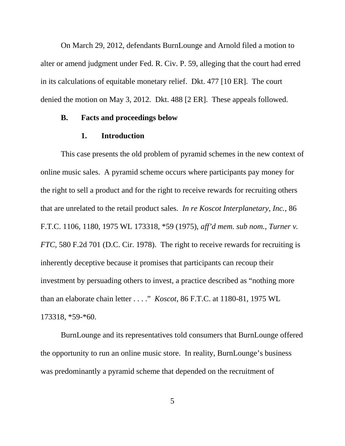On March 29, 2012, defendants BurnLounge and Arnold filed a motion to alter or amend judgment under Fed. R. Civ. P. 59, alleging that the court had erred in its calculations of equitable monetary relief. Dkt. 477 [10 ER]. The court denied the motion on May 3, 2012. Dkt. 488 [2 ER]. These appeals followed.

### **B. Facts and proceedings below**

#### **1. Introduction**

This case presents the old problem of pyramid schemes in the new context of online music sales. A pyramid scheme occurs where participants pay money for the right to sell a product and for the right to receive rewards for recruiting others that are unrelated to the retail product sales. *In re Koscot Interplanetary, Inc.*, 86 F.T.C. 1106, 1180, 1975 WL 173318, \*59 (1975), *aff'd mem. sub nom.*, *Turner v. FTC*, 580 F.2d 701 (D.C. Cir. 1978). The right to receive rewards for recruiting is inherently deceptive because it promises that participants can recoup their investment by persuading others to invest, a practice described as "nothing more than an elaborate chain letter . . . ." *Koscot*, 86 F.T.C. at 1180-81, 1975 WL 173318, \*59-\*60.

BurnLounge and its representatives told consumers that BurnLounge offered the opportunity to run an online music store. In reality, BurnLounge's business was predominantly a pyramid scheme that depended on the recruitment of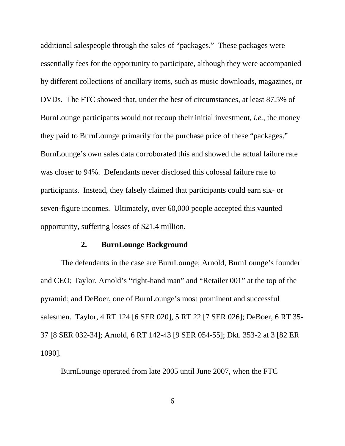additional salespeople through the sales of "packages." These packages were essentially fees for the opportunity to participate, although they were accompanied by different collections of ancillary items, such as music downloads, magazines, or DVDs. The FTC showed that, under the best of circumstances, at least 87.5% of BurnLounge participants would not recoup their initial investment, *i.e.*, the money they paid to BurnLounge primarily for the purchase price of these "packages." BurnLounge's own sales data corroborated this and showed the actual failure rate was closer to 94%. Defendants never disclosed this colossal failure rate to participants. Instead, they falsely claimed that participants could earn six- or seven-figure incomes. Ultimately, over 60,000 people accepted this vaunted opportunity, suffering losses of \$21.4 million.

#### **2. BurnLounge Background**

The defendants in the case are BurnLounge; Arnold, BurnLounge's founder and CEO; Taylor, Arnold's "right-hand man" and "Retailer 001" at the top of the pyramid; and DeBoer, one of BurnLounge's most prominent and successful salesmen. Taylor, 4 RT 124 [6 SER 020], 5 RT 22 [7 SER 026]; DeBoer, 6 RT 35- 37 [8 SER 032-34]; Arnold, 6 RT 142-43 [9 SER 054-55]; Dkt. 353-2 at 3 [82 ER 1090].

BurnLounge operated from late 2005 until June 2007, when the FTC

6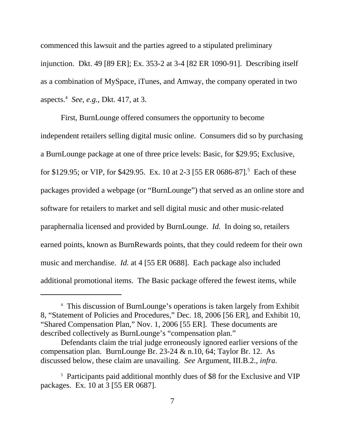commenced this lawsuit and the parties agreed to a stipulated preliminary injunction. Dkt. 49 [89 ER]; Ex. 353-2 at 3-4 [82 ER 1090-91]. Describing itself as a combination of MySpace, iTunes, and Amway, the company operated in two aspects.4 *See*, *e.g.*, Dkt. 417, at 3.

First, BurnLounge offered consumers the opportunity to become independent retailers selling digital music online. Consumers did so by purchasing a BurnLounge package at one of three price levels: Basic, for \$29.95; Exclusive, for \$129.95; or VIP, for \$429.95. Ex. 10 at 2-3 [55 ER 0686-87].<sup>5</sup> Each of these packages provided a webpage (or "BurnLounge") that served as an online store and software for retailers to market and sell digital music and other music-related paraphernalia licensed and provided by BurnLounge. *Id.* In doing so, retailers earned points, known as BurnRewards points, that they could redeem for their own music and merchandise. *Id.* at 4 [55 ER 0688]. Each package also included additional promotional items. The Basic package offered the fewest items, while

<sup>4</sup> This discussion of BurnLounge's operations is taken largely from Exhibit 8, "Statement of Policies and Procedures," Dec. 18, 2006 [56 ER], and Exhibit 10, "Shared Compensation Plan," Nov. 1, 2006 [55 ER]. These documents are described collectively as BurnLounge's "compensation plan."

Defendants claim the trial judge erroneously ignored earlier versions of the compensation plan. BurnLounge Br. 23-24 & n.10, 64; Taylor Br. 12. As discussed below, these claim are unavailing. *See* Argument, III.B.2., *infra*.

<sup>&</sup>lt;sup>5</sup> Participants paid additional monthly dues of \$8 for the Exclusive and VIP packages. Ex. 10 at 3 [55 ER 0687].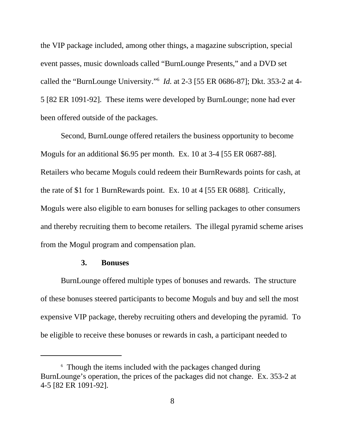the VIP package included, among other things, a magazine subscription, special event passes, music downloads called "BurnLounge Presents," and a DVD set called the "BurnLounge University."6 *Id.* at 2-3 [55 ER 0686-87]; Dkt. 353-2 at 4- 5 [82 ER 1091-92]. These items were developed by BurnLounge; none had ever been offered outside of the packages.

Second, BurnLounge offered retailers the business opportunity to become Moguls for an additional \$6.95 per month. Ex. 10 at 3-4 [55 ER 0687-88]. Retailers who became Moguls could redeem their BurnRewards points for cash, at the rate of \$1 for 1 BurnRewards point. Ex. 10 at 4 [55 ER 0688]. Critically, Moguls were also eligible to earn bonuses for selling packages to other consumers and thereby recruiting them to become retailers. The illegal pyramid scheme arises from the Mogul program and compensation plan.

## **3. Bonuses**

BurnLounge offered multiple types of bonuses and rewards. The structure of these bonuses steered participants to become Moguls and buy and sell the most expensive VIP package, thereby recruiting others and developing the pyramid. To be eligible to receive these bonuses or rewards in cash, a participant needed to

<sup>&</sup>lt;sup>6</sup> Though the items included with the packages changed during BurnLounge's operation, the prices of the packages did not change. Ex. 353-2 at 4-5 [82 ER 1091-92].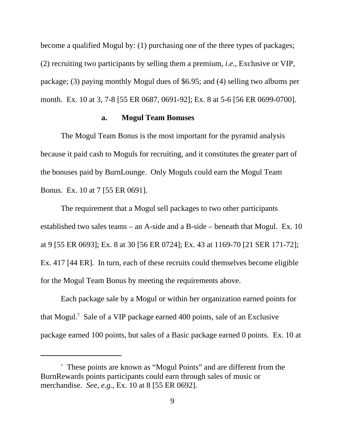become a qualified Mogul by: (1) purchasing one of the three types of packages; (2) recruiting two participants by selling them a premium, *i.e.*, Exclusive or VIP, package; (3) paying monthly Mogul dues of \$6.95; and (4) selling two albums per month. Ex. 10 at 3, 7-8 [55 ER 0687, 0691-92]; Ex. 8 at 5-6 [56 ER 0699-0700].

### **a. Mogul Team Bonuses**

 The Mogul Team Bonus is the most important for the pyramid analysis because it paid cash to Moguls for recruiting, and it constitutes the greater part of the bonuses paid by BurnLounge. Only Moguls could earn the Mogul Team Bonus. Ex. 10 at 7 [55 ER 0691].

The requirement that a Mogul sell packages to two other participants established two sales teams – an A-side and a B-side – beneath that Mogul. Ex. 10 at 9 [55 ER 0693]; Ex. 8 at 30 [56 ER 0724]; Ex. 43 at 1169-70 [21 SER 171-72]; Ex. 417 [44 ER]. In turn, each of these recruits could themselves become eligible for the Mogul Team Bonus by meeting the requirements above.

Each package sale by a Mogul or within her organization earned points for that Mogul.7 Sale of a VIP package earned 400 points, sale of an Exclusive package earned 100 points, but sales of a Basic package earned 0 points. Ex. 10 at

<sup>7</sup> These points are known as "Mogul Points" and are different from the BurnRewards points participants could earn through sales of music or merchandise. *See*, *e.g.*, Ex. 10 at 8 [55 ER 0692].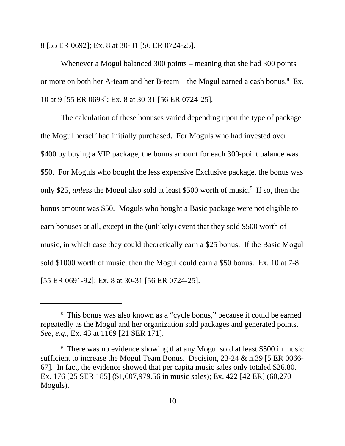8 [55 ER 0692]; Ex. 8 at 30-31 [56 ER 0724-25].

Whenever a Mogul balanced 300 points – meaning that she had 300 points or more on both her A-team and her B-team – the Mogul earned a cash bonus.<sup>8</sup> Ex. 10 at 9 [55 ER 0693]; Ex. 8 at 30-31 [56 ER 0724-25].

The calculation of these bonuses varied depending upon the type of package the Mogul herself had initially purchased. For Moguls who had invested over \$400 by buying a VIP package, the bonus amount for each 300-point balance was \$50. For Moguls who bought the less expensive Exclusive package, the bonus was only \$25, *unless* the Mogul also sold at least \$500 worth of music.<sup>9</sup> If so, then the bonus amount was \$50. Moguls who bought a Basic package were not eligible to earn bonuses at all, except in the (unlikely) event that they sold \$500 worth of music, in which case they could theoretically earn a \$25 bonus. If the Basic Mogul sold \$1000 worth of music, then the Mogul could earn a \$50 bonus. Ex. 10 at 7-8 [55 ER 0691-92]; Ex. 8 at 30-31 [56 ER 0724-25].

<sup>8</sup> This bonus was also known as a "cycle bonus," because it could be earned repeatedly as the Mogul and her organization sold packages and generated points. *See, e.g.*, Ex. 43 at 1169 [21 SER 171].

<sup>9</sup> There was no evidence showing that any Mogul sold at least \$500 in music sufficient to increase the Mogul Team Bonus. Decision, 23-24 & n.39 [5 ER 0066- 67]. In fact, the evidence showed that per capita music sales only totaled \$26.80. Ex. 176 [25 SER 185] (\$1,607,979.56 in music sales); Ex. 422 [42 ER] (60,270 Moguls).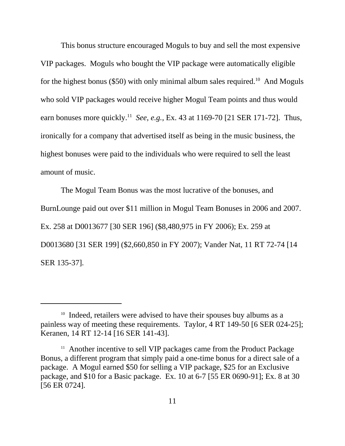This bonus structure encouraged Moguls to buy and sell the most expensive VIP packages. Moguls who bought the VIP package were automatically eligible for the highest bonus (\$50) with only minimal album sales required.<sup>10</sup> And Moguls who sold VIP packages would receive higher Mogul Team points and thus would earn bonuses more quickly.<sup>11</sup> *See*, *e.g.*, Ex. 43 at 1169-70 [21 SER 171-72]. Thus, ironically for a company that advertised itself as being in the music business, the highest bonuses were paid to the individuals who were required to sell the least amount of music.

The Mogul Team Bonus was the most lucrative of the bonuses, and BurnLounge paid out over \$11 million in Mogul Team Bonuses in 2006 and 2007. Ex. 258 at D0013677 [30 SER 196] (\$8,480,975 in FY 2006); Ex. 259 at D0013680 [31 SER 199] (\$2,660,850 in FY 2007); Vander Nat, 11 RT 72-74 [14 SER 135-37].

<sup>&</sup>lt;sup>10</sup> Indeed, retailers were advised to have their spouses buy albums as a painless way of meeting these requirements. Taylor, 4 RT 149-50 [6 SER 024-25]; Keranen, 14 RT 12-14 [16 SER 141-43].

<sup>&</sup>lt;sup>11</sup> Another incentive to sell VIP packages came from the Product Package Bonus, a different program that simply paid a one-time bonus for a direct sale of a package. A Mogul earned \$50 for selling a VIP package, \$25 for an Exclusive package, and \$10 for a Basic package. Ex. 10 at 6-7 [55 ER 0690-91]; Ex. 8 at 30 [56 ER 0724].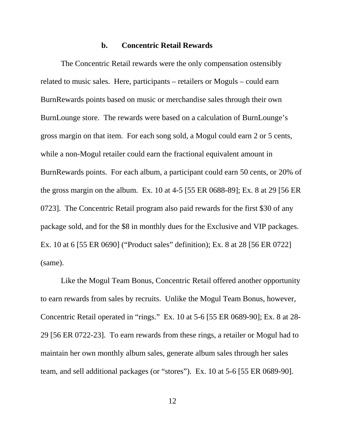#### **b. Concentric Retail Rewards**

The Concentric Retail rewards were the only compensation ostensibly related to music sales. Here, participants – retailers or Moguls – could earn BurnRewards points based on music or merchandise sales through their own BurnLounge store. The rewards were based on a calculation of BurnLounge's gross margin on that item. For each song sold, a Mogul could earn 2 or 5 cents, while a non-Mogul retailer could earn the fractional equivalent amount in BurnRewards points. For each album, a participant could earn 50 cents, or 20% of the gross margin on the album. Ex. 10 at 4-5 [55 ER 0688-89]; Ex. 8 at 29 [56 ER 0723]. The Concentric Retail program also paid rewards for the first \$30 of any package sold, and for the \$8 in monthly dues for the Exclusive and VIP packages. Ex. 10 at 6 [55 ER 0690] ("Product sales" definition); Ex. 8 at 28 [56 ER 0722] (same).

Like the Mogul Team Bonus, Concentric Retail offered another opportunity to earn rewards from sales by recruits. Unlike the Mogul Team Bonus, however, Concentric Retail operated in "rings." Ex. 10 at 5-6 [55 ER 0689-90]; Ex. 8 at 28- 29 [56 ER 0722-23]. To earn rewards from these rings, a retailer or Mogul had to maintain her own monthly album sales, generate album sales through her sales team, and sell additional packages (or "stores"). Ex. 10 at 5-6 [55 ER 0689-90].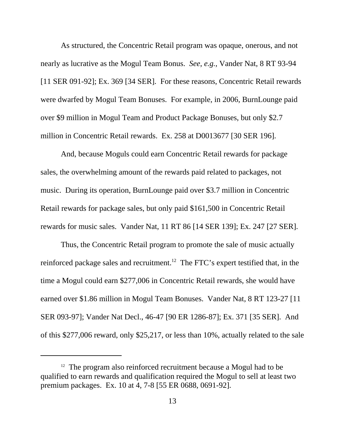As structured, the Concentric Retail program was opaque, onerous, and not nearly as lucrative as the Mogul Team Bonus. *See*, *e.g.*, Vander Nat, 8 RT 93-94 [11 SER 091-92]; Ex. 369 [34 SER]. For these reasons, Concentric Retail rewards were dwarfed by Mogul Team Bonuses. For example, in 2006, BurnLounge paid over \$9 million in Mogul Team and Product Package Bonuses, but only \$2.7 million in Concentric Retail rewards. Ex. 258 at D0013677 [30 SER 196].

And, because Moguls could earn Concentric Retail rewards for package sales, the overwhelming amount of the rewards paid related to packages, not music. During its operation, BurnLounge paid over \$3.7 million in Concentric Retail rewards for package sales, but only paid \$161,500 in Concentric Retail rewards for music sales. Vander Nat, 11 RT 86 [14 SER 139]; Ex. 247 [27 SER].

Thus, the Concentric Retail program to promote the sale of music actually reinforced package sales and recruitment.<sup>12</sup> The FTC's expert testified that, in the time a Mogul could earn \$277,006 in Concentric Retail rewards, she would have earned over \$1.86 million in Mogul Team Bonuses. Vander Nat, 8 RT 123-27 [11 SER 093-97]; Vander Nat Decl., 46-47 [90 ER 1286-87]; Ex. 371 [35 SER]. And of this \$277,006 reward, only \$25,217, or less than 10%, actually related to the sale

 $12$  The program also reinforced recruitment because a Mogul had to be qualified to earn rewards and qualification required the Mogul to sell at least two premium packages. Ex. 10 at 4, 7-8 [55 ER 0688, 0691-92].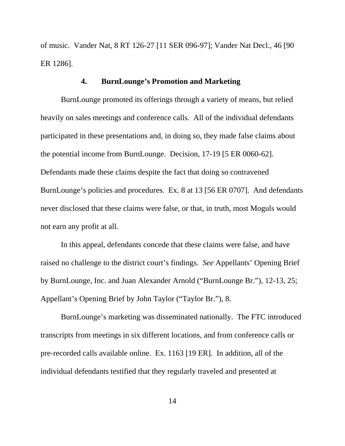of music. Vander Nat, 8 RT 126-27 [11 SER 096-97]; Vander Nat Decl., 46 [90 ER 1286].

## **4. BurnLounge's Promotion and Marketing**

BurnLounge promoted its offerings through a variety of means, but relied heavily on sales meetings and conference calls. All of the individual defendants participated in these presentations and, in doing so, they made false claims about the potential income from BurnLounge. Decision, 17-19 [5 ER 0060-62]. Defendants made these claims despite the fact that doing so contravened BurnLounge's policies and procedures. Ex. 8 at 13 [56 ER 0707]. And defendants never disclosed that these claims were false, or that, in truth, most Moguls would not earn any profit at all.

In this appeal, defendants concede that these claims were false, and have raised no challenge to the district court's findings. *See* Appellants' Opening Brief by BurnLounge, Inc. and Juan Alexander Arnold ("BurnLounge Br."), 12-13, 25; Appellant's Opening Brief by John Taylor ("Taylor Br."), 8.

BurnLounge's marketing was disseminated nationally. The FTC introduced transcripts from meetings in six different locations, and from conference calls or pre-recorded calls available online. Ex. 1163 [19 ER]. In addition, all of the individual defendants testified that they regularly traveled and presented at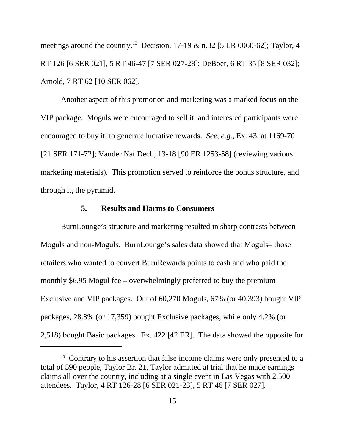meetings around the country.<sup>13</sup> Decision, 17-19 & n.32 [5 ER 0060-62]; Taylor, 4 RT 126 [6 SER 021], 5 RT 46-47 [7 SER 027-28]; DeBoer, 6 RT 35 [8 SER 032]; Arnold, 7 RT 62 [10 SER 062].

Another aspect of this promotion and marketing was a marked focus on the VIP package. Moguls were encouraged to sell it, and interested participants were encouraged to buy it, to generate lucrative rewards. *See*, *e.g.*, Ex. 43, at 1169-70 [21 SER 171-72]; Vander Nat Decl., 13-18 [90 ER 1253-58] (reviewing various marketing materials). This promotion served to reinforce the bonus structure, and through it, the pyramid.

## **5. Results and Harms to Consumers**

BurnLounge's structure and marketing resulted in sharp contrasts between Moguls and non-Moguls. BurnLounge's sales data showed that Moguls– those retailers who wanted to convert BurnRewards points to cash and who paid the monthly \$6.95 Mogul fee – overwhelmingly preferred to buy the premium Exclusive and VIP packages. Out of 60,270 Moguls, 67% (or 40,393) bought VIP packages, 28.8% (or 17,359) bought Exclusive packages, while only 4.2% (or 2,518) bought Basic packages. Ex. 422 [42 ER]. The data showed the opposite for

<sup>&</sup>lt;sup>13</sup> Contrary to his assertion that false income claims were only presented to a total of 590 people, Taylor Br. 21, Taylor admitted at trial that he made earnings claims all over the country, including at a single event in Las Vegas with 2,500 attendees. Taylor, 4 RT 126-28 [6 SER 021-23], 5 RT 46 [7 SER 027].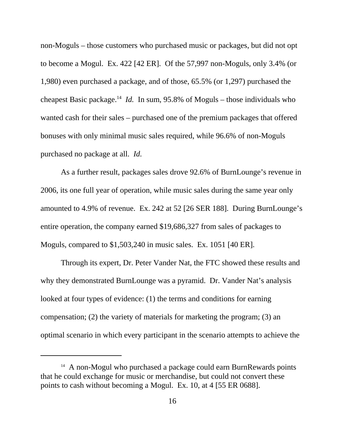non-Moguls – those customers who purchased music or packages, but did not opt to become a Mogul. Ex. 422 [42 ER]. Of the 57,997 non-Moguls, only 3.4% (or 1,980) even purchased a package, and of those, 65.5% (or 1,297) purchased the cheapest Basic package.<sup>14</sup> *Id.* In sum, 95.8% of Moguls – those individuals who wanted cash for their sales – purchased one of the premium packages that offered bonuses with only minimal music sales required, while 96.6% of non-Moguls purchased no package at all. *Id.*

As a further result, packages sales drove 92.6% of BurnLounge's revenue in 2006, its one full year of operation, while music sales during the same year only amounted to 4.9% of revenue. Ex. 242 at 52 [26 SER 188]. During BurnLounge's entire operation, the company earned \$19,686,327 from sales of packages to Moguls, compared to \$1,503,240 in music sales. Ex. 1051 [40 ER].

Through its expert, Dr. Peter Vander Nat, the FTC showed these results and why they demonstrated BurnLounge was a pyramid. Dr. Vander Nat's analysis looked at four types of evidence: (1) the terms and conditions for earning compensation; (2) the variety of materials for marketing the program; (3) an optimal scenario in which every participant in the scenario attempts to achieve the

<sup>&</sup>lt;sup>14</sup> A non-Mogul who purchased a package could earn BurnRewards points that he could exchange for music or merchandise, but could not convert these points to cash without becoming a Mogul. Ex. 10, at 4 [55 ER 0688].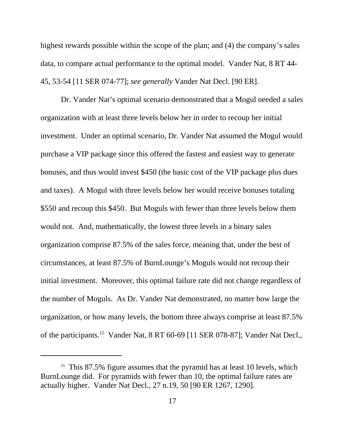highest rewards possible within the scope of the plan; and (4) the company's sales data, to compare actual performance to the optimal model. Vander Nat, 8 RT 44- 45, 53-54 [11 SER 074-77]; *see generally* Vander Nat Decl. [90 ER].

Dr. Vander Nat's optimal scenario demonstrated that a Mogul needed a sales organization with at least three levels below her in order to recoup her initial investment. Under an optimal scenario, Dr. Vander Nat assumed the Mogul would purchase a VIP package since this offered the fastest and easiest way to generate bonuses, and thus would invest \$450 (the basic cost of the VIP package plus dues and taxes). A Mogul with three levels below her would receive bonuses totaling \$550 and recoup this \$450. But Moguls with fewer than three levels below them would not. And, mathematically, the lowest three levels in a binary sales organization comprise 87.5% of the sales force, meaning that, under the best of circumstances, at least 87.5% of BurnLounge's Moguls would not recoup their initial investment. Moreover, this optimal failure rate did not change regardless of the number of Moguls. As Dr. Vander Nat demonstrated, no matter how large the organization, or how many levels, the bottom three always comprise at least 87.5% of the participants.<sup>15</sup> Vander Nat, 8 RT 60-69 [11 SER 078-87]; Vander Nat Decl.,

<sup>&</sup>lt;sup>15</sup> This 87.5% figure assumes that the pyramid has at least 10 levels, which BurnLounge did. For pyramids with fewer than 10, the optimal failure rates are actually higher. Vander Nat Decl., 27 n.19, 50 [90 ER 1267, 1290].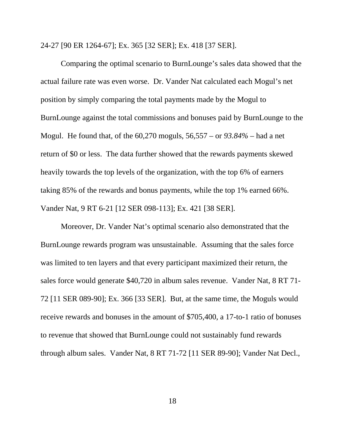24-27 [90 ER 1264-67]; Ex. 365 [32 SER]; Ex. 418 [37 SER].

Comparing the optimal scenario to BurnLounge's sales data showed that the actual failure rate was even worse. Dr. Vander Nat calculated each Mogul's net position by simply comparing the total payments made by the Mogul to BurnLounge against the total commissions and bonuses paid by BurnLounge to the Mogul. He found that, of the 60,270 moguls, 56,557 – or *93.84%* – had a net return of \$0 or less. The data further showed that the rewards payments skewed heavily towards the top levels of the organization, with the top 6% of earners taking 85% of the rewards and bonus payments, while the top 1% earned 66%. Vander Nat, 9 RT 6-21 [12 SER 098-113]; Ex. 421 [38 SER].

Moreover, Dr. Vander Nat's optimal scenario also demonstrated that the BurnLounge rewards program was unsustainable. Assuming that the sales force was limited to ten layers and that every participant maximized their return, the sales force would generate \$40,720 in album sales revenue. Vander Nat, 8 RT 71- 72 [11 SER 089-90]; Ex. 366 [33 SER]. But, at the same time, the Moguls would receive rewards and bonuses in the amount of \$705,400, a 17-to-1 ratio of bonuses to revenue that showed that BurnLounge could not sustainably fund rewards through album sales. Vander Nat, 8 RT 71-72 [11 SER 89-90]; Vander Nat Decl.,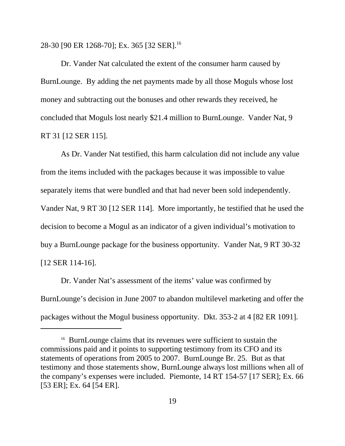28-30 [90 ER 1268-70]; Ex. 365 [32 SER].<sup>16</sup>

Dr. Vander Nat calculated the extent of the consumer harm caused by BurnLounge. By adding the net payments made by all those Moguls whose lost money and subtracting out the bonuses and other rewards they received, he concluded that Moguls lost nearly \$21.4 million to BurnLounge. Vander Nat, 9 RT 31 [12 SER 115].

As Dr. Vander Nat testified, this harm calculation did not include any value from the items included with the packages because it was impossible to value separately items that were bundled and that had never been sold independently. Vander Nat, 9 RT 30 [12 SER 114]. More importantly, he testified that he used the decision to become a Mogul as an indicator of a given individual's motivation to buy a BurnLounge package for the business opportunity. Vander Nat, 9 RT 30-32 [12 SER 114-16].

Dr. Vander Nat's assessment of the items' value was confirmed by BurnLounge's decision in June 2007 to abandon multilevel marketing and offer the packages without the Mogul business opportunity. Dkt. 353-2 at 4 [82 ER 1091].

<sup>&</sup>lt;sup>16</sup> BurnLounge claims that its revenues were sufficient to sustain the commissions paid and it points to supporting testimony from its CFO and its statements of operations from 2005 to 2007. BurnLounge Br. 25. But as that testimony and those statements show, BurnLounge always lost millions when all of the company's expenses were included. Piemonte, 14 RT 154-57 [17 SER]; Ex. 66 [53 ER]; Ex. 64 [54 ER].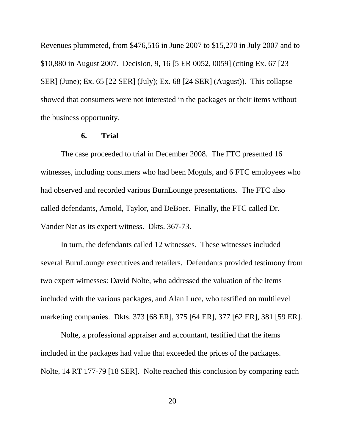Revenues plummeted, from \$476,516 in June 2007 to \$15,270 in July 2007 and to \$10,880 in August 2007. Decision, 9, 16 [5 ER 0052, 0059] (citing Ex. 67 [23 SER] (June); Ex. 65 [22 SER] (July); Ex. 68 [24 SER] (August)). This collapse showed that consumers were not interested in the packages or their items without the business opportunity.

## **6. Trial**

The case proceeded to trial in December 2008. The FTC presented 16 witnesses, including consumers who had been Moguls, and 6 FTC employees who had observed and recorded various BurnLounge presentations. The FTC also called defendants, Arnold, Taylor, and DeBoer. Finally, the FTC called Dr. Vander Nat as its expert witness. Dkts. 367-73.

In turn, the defendants called 12 witnesses. These witnesses included several BurnLounge executives and retailers. Defendants provided testimony from two expert witnesses: David Nolte, who addressed the valuation of the items included with the various packages, and Alan Luce, who testified on multilevel marketing companies. Dkts. 373 [68 ER], 375 [64 ER], 377 [62 ER], 381 [59 ER].

Nolte, a professional appraiser and accountant, testified that the items included in the packages had value that exceeded the prices of the packages. Nolte, 14 RT 177-79 [18 SER]. Nolte reached this conclusion by comparing each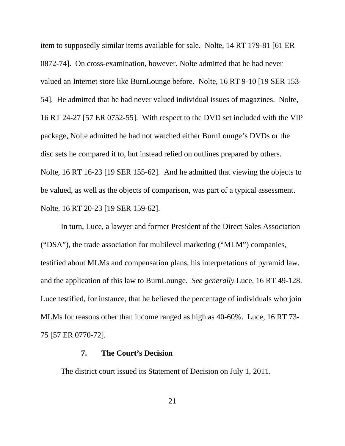item to supposedly similar items available for sale. Nolte, 14 RT 179-81 [61 ER 0872-74]. On cross-examination, however, Nolte admitted that he had never valued an Internet store like BurnLounge before. Nolte, 16 RT 9-10 [19 SER 153- 54]. He admitted that he had never valued individual issues of magazines. Nolte, 16 RT 24-27 [57 ER 0752-55]. With respect to the DVD set included with the VIP package, Nolte admitted he had not watched either BurnLounge's DVDs or the disc sets he compared it to, but instead relied on outlines prepared by others. Nolte, 16 RT 16-23 [19 SER 155-62]. And he admitted that viewing the objects to be valued, as well as the objects of comparison, was part of a typical assessment. Nolte, 16 RT 20-23 [19 SER 159-62].

In turn, Luce, a lawyer and former President of the Direct Sales Association ("DSA"), the trade association for multilevel marketing ("MLM") companies, testified about MLMs and compensation plans, his interpretations of pyramid law, and the application of this law to BurnLounge. *See generally* Luce, 16 RT 49-128. Luce testified, for instance, that he believed the percentage of individuals who join MLMs for reasons other than income ranged as high as 40-60%. Luce, 16 RT 73- 75 [57 ER 0770-72].

## **7. The Court's Decision**

The district court issued its Statement of Decision on July 1, 2011.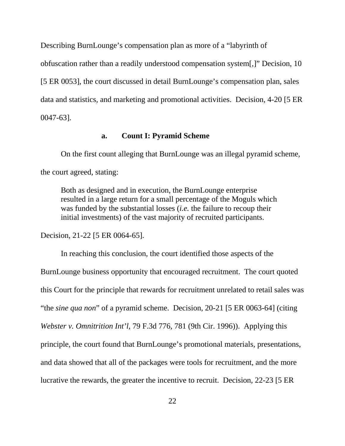Describing BurnLounge's compensation plan as more of a "labyrinth of

obfuscation rather than a readily understood compensation system[,]" Decision, 10

[5 ER 0053], the court discussed in detail BurnLounge's compensation plan, sales

data and statistics, and marketing and promotional activities. Decision, 4-20 [5 ER

0047-63].

### **a. Count I: Pyramid Scheme**

On the first count alleging that BurnLounge was an illegal pyramid scheme, the court agreed, stating:

Both as designed and in execution, the BurnLounge enterprise resulted in a large return for a small percentage of the Moguls which was funded by the substantial losses (*i.e.* the failure to recoup their initial investments) of the vast majority of recruited participants.

Decision, 21-22 [5 ER 0064-65].

In reaching this conclusion, the court identified those aspects of the BurnLounge business opportunity that encouraged recruitment. The court quoted this Court for the principle that rewards for recruitment unrelated to retail sales was "the *sine qua non*" of a pyramid scheme. Decision, 20-21 [5 ER 0063-64] (citing *Webster v. Omnitrition Int'l*, 79 F.3d 776, 781 (9th Cir. 1996)). Applying this principle, the court found that BurnLounge's promotional materials, presentations, and data showed that all of the packages were tools for recruitment, and the more lucrative the rewards, the greater the incentive to recruit. Decision, 22-23 [5 ER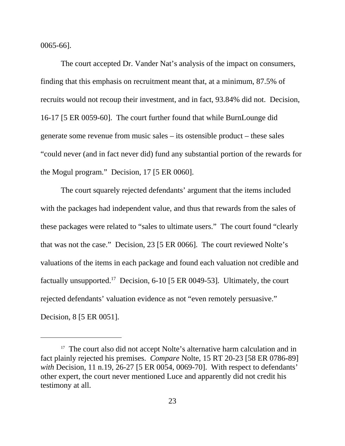0065-66].

The court accepted Dr. Vander Nat's analysis of the impact on consumers, finding that this emphasis on recruitment meant that, at a minimum, 87.5% of recruits would not recoup their investment, and in fact, 93.84% did not. Decision, 16-17 [5 ER 0059-60]. The court further found that while BurnLounge did generate some revenue from music sales – its ostensible product – these sales "could never (and in fact never did) fund any substantial portion of the rewards for the Mogul program." Decision, 17 [5 ER 0060].

The court squarely rejected defendants' argument that the items included with the packages had independent value, and thus that rewards from the sales of these packages were related to "sales to ultimate users." The court found "clearly that was not the case." Decision, 23 [5 ER 0066]. The court reviewed Nolte's valuations of the items in each package and found each valuation not credible and factually unsupported.<sup>17</sup> Decision, 6-10 [5 ER 0049-53]. Ultimately, the court rejected defendants' valuation evidence as not "even remotely persuasive." Decision, 8 [5 ER 0051].

<sup>&</sup>lt;sup>17</sup> The court also did not accept Nolte's alternative harm calculation and in fact plainly rejected his premises. *Compare* Nolte, 15 RT 20-23 [58 ER 0786-89] *with* Decision, 11 n.19, 26-27 [5 ER 0054, 0069-70]. With respect to defendants' other expert, the court never mentioned Luce and apparently did not credit his testimony at all.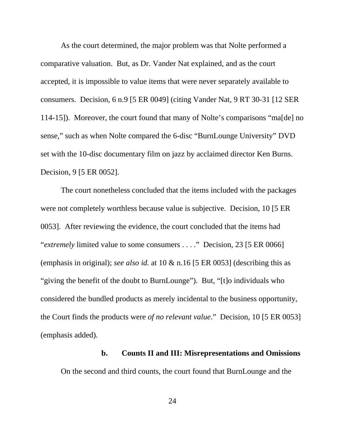As the court determined, the major problem was that Nolte performed a comparative valuation. But, as Dr. Vander Nat explained, and as the court accepted, it is impossible to value items that were never separately available to consumers. Decision, 6 n.9 [5 ER 0049] (citing Vander Nat, 9 RT 30-31 [12 SER 114-15]). Moreover, the court found that many of Nolte's comparisons "ma[de] no sense," such as when Nolte compared the 6-disc "BurnLounge University" DVD set with the 10-disc documentary film on jazz by acclaimed director Ken Burns. Decision, 9 [5 ER 0052].

The court nonetheless concluded that the items included with the packages were not completely worthless because value is subjective. Decision, 10 [5 ER 0053]. After reviewing the evidence, the court concluded that the items had "*extremely* limited value to some consumers . . . ." Decision, 23 [5 ER 0066] (emphasis in original); *see also id.* at 10 & n.16 [5 ER 0053] (describing this as "giving the benefit of the doubt to BurnLounge"). But, "[t]o individuals who considered the bundled products as merely incidental to the business opportunity, the Court finds the products were *of no relevant value*." Decision*,* 10 [5 ER 0053] (emphasis added).

### **b. Counts II and III: Misrepresentations and Omissions**

On the second and third counts, the court found that BurnLounge and the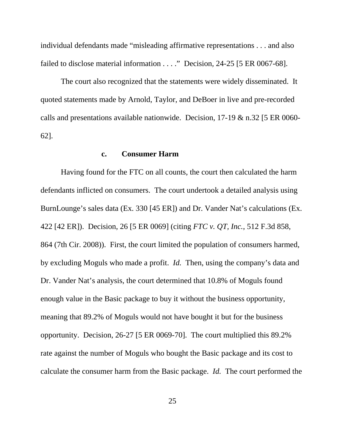individual defendants made "misleading affirmative representations . . . and also failed to disclose material information . . . ." Decision*,* 24-25 [5 ER 0067-68].

The court also recognized that the statements were widely disseminated. It quoted statements made by Arnold, Taylor, and DeBoer in live and pre-recorded calls and presentations available nationwide. Decision, 17-19 & n.32 [5 ER 0060- 62].

## **c. Consumer Harm**

Having found for the FTC on all counts, the court then calculated the harm defendants inflicted on consumers. The court undertook a detailed analysis using BurnLounge's sales data (Ex. 330 [45 ER]) and Dr. Vander Nat's calculations (Ex. 422 [42 ER]). Decision, 26 [5 ER 0069] (citing *FTC v. QT, Inc.*, 512 F.3d 858, 864 (7th Cir. 2008)). First, the court limited the population of consumers harmed, by excluding Moguls who made a profit. *Id.* Then, using the company's data and Dr. Vander Nat's analysis, the court determined that 10.8% of Moguls found enough value in the Basic package to buy it without the business opportunity, meaning that 89.2% of Moguls would not have bought it but for the business opportunity. Decision, 26-27 [5 ER 0069-70]. The court multiplied this 89.2% rate against the number of Moguls who bought the Basic package and its cost to calculate the consumer harm from the Basic package. *Id.* The court performed the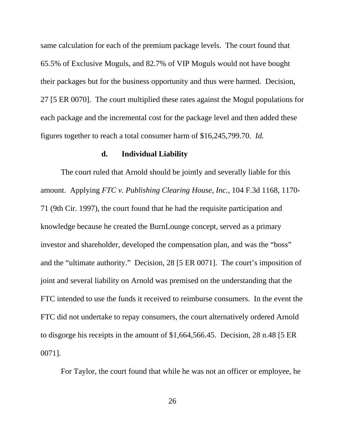same calculation for each of the premium package levels. The court found that 65.5% of Exclusive Moguls, and 82.7% of VIP Moguls would not have bought their packages but for the business opportunity and thus were harmed. Decision, 27 [5 ER 0070]. The court multiplied these rates against the Mogul populations for each package and the incremental cost for the package level and then added these figures together to reach a total consumer harm of \$16,245,799.70. *Id.*

#### **d. Individual Liability**

The court ruled that Arnold should be jointly and severally liable for this amount. Applying *FTC v. Publishing Clearing House, Inc.*, 104 F.3d 1168, 1170- 71 (9th Cir. 1997), the court found that he had the requisite participation and knowledge because he created the BurnLounge concept, served as a primary investor and shareholder, developed the compensation plan, and was the "boss" and the "ultimate authority." Decision, 28 [5 ER 0071]. The court's imposition of joint and several liability on Arnold was premised on the understanding that the FTC intended to use the funds it received to reimburse consumers. In the event the FTC did not undertake to repay consumers, the court alternatively ordered Arnold to disgorge his receipts in the amount of \$1,664,566.45. Decision, 28 n.48 [5 ER 0071].

For Taylor, the court found that while he was not an officer or employee, he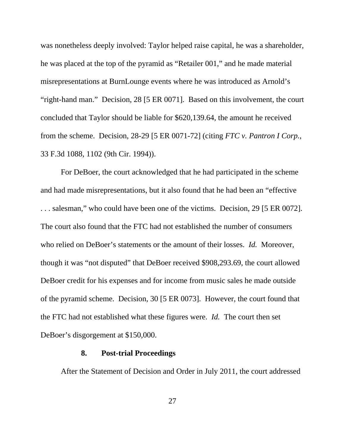was nonetheless deeply involved: Taylor helped raise capital, he was a shareholder, he was placed at the top of the pyramid as "Retailer 001," and he made material misrepresentations at BurnLounge events where he was introduced as Arnold's "right-hand man." Decision, 28 [5 ER 0071].Based on this involvement, the court concluded that Taylor should be liable for \$620,139.64, the amount he received from the scheme. Decision, 28-29 [5 ER 0071-72] (citing *FTC v. Pantron I Corp.*, 33 F.3d 1088, 1102 (9th Cir. 1994)).

For DeBoer, the court acknowledged that he had participated in the scheme and had made misrepresentations, but it also found that he had been an "effective . . . salesman," who could have been one of the victims. Decision, 29 [5 ER 0072]. The court also found that the FTC had not established the number of consumers who relied on DeBoer's statements or the amount of their losses. *Id.* Moreover, though it was "not disputed" that DeBoer received \$908,293.69, the court allowed DeBoer credit for his expenses and for income from music sales he made outside of the pyramid scheme. Decision, 30 [5 ER 0073]. However, the court found that the FTC had not established what these figures were. *Id.* The court then set DeBoer's disgorgement at \$150,000.

#### **8. Post-trial Proceedings**

After the Statement of Decision and Order in July 2011, the court addressed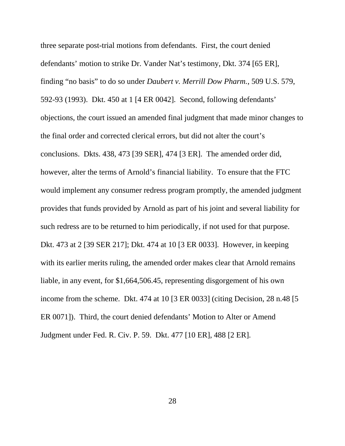three separate post-trial motions from defendants. First, the court denied defendants' motion to strike Dr. Vander Nat's testimony, Dkt. 374 [65 ER], finding "no basis" to do so under *Daubert v. Merrill Dow Pharm.*, 509 U.S. 579, 592-93 (1993). Dkt. 450 at 1 [4 ER 0042]. Second, following defendants' objections, the court issued an amended final judgment that made minor changes to the final order and corrected clerical errors, but did not alter the court's conclusions. Dkts. 438, 473 [39 SER], 474 [3 ER]. The amended order did, however, alter the terms of Arnold's financial liability. To ensure that the FTC would implement any consumer redress program promptly, the amended judgment provides that funds provided by Arnold as part of his joint and several liability for such redress are to be returned to him periodically, if not used for that purpose. Dkt. 473 at 2 [39 SER 217]; Dkt. 474 at 10 [3 ER 0033]. However, in keeping with its earlier merits ruling, the amended order makes clear that Arnold remains liable, in any event, for \$1,664,506.45, representing disgorgement of his own income from the scheme. Dkt. 474 at 10 [3 ER 0033] (citing Decision, 28 n.48 [5 ER 0071]). Third, the court denied defendants' Motion to Alter or Amend Judgment under Fed. R. Civ. P. 59. Dkt. 477 [10 ER], 488 [2 ER].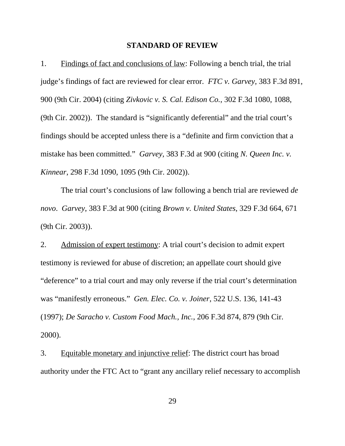#### **STANDARD OF REVIEW**

1. Findings of fact and conclusions of law: Following a bench trial, the trial judge's findings of fact are reviewed for clear error. *FTC v. Garvey*, 383 F.3d 891, 900 (9th Cir. 2004) (citing *Zivkovic v. S. Cal. Edison Co.*, 302 F.3d 1080, 1088, (9th Cir. 2002)). The standard is "significantly deferential" and the trial court's findings should be accepted unless there is a "definite and firm conviction that a mistake has been committed." *Garvey*, 383 F.3d at 900 (citing *N. Queen Inc. v. Kinnear*, 298 F.3d 1090, 1095 (9th Cir. 2002)).

The trial court's conclusions of law following a bench trial are reviewed *de novo*. *Garvey*, 383 F.3d at 900 (citing *Brown v. United States*, 329 F.3d 664, 671 (9th Cir. 2003)).

2. Admission of expert testimony: A trial court's decision to admit expert testimony is reviewed for abuse of discretion; an appellate court should give "deference" to a trial court and may only reverse if the trial court's determination was "manifestly erroneous." *Gen. Elec. Co. v. Joiner*, 522 U.S. 136, 141-43 (1997); *De Saracho v. Custom Food Mach., Inc.*, 206 F.3d 874, 879 (9th Cir. 2000).

3. Equitable monetary and injunctive relief: The district court has broad authority under the FTC Act to "grant any ancillary relief necessary to accomplish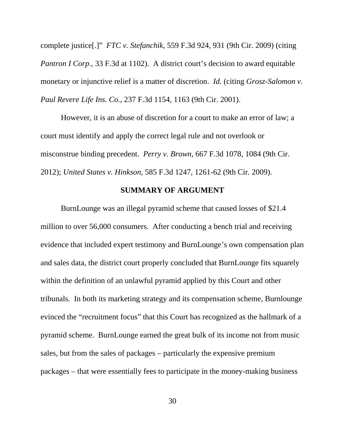complete justice[.]" *FTC v. Stefanchik*, 559 F.3d 924, 931 (9th Cir. 2009) (citing *Pantron I Corp.*, 33 F.3d at 1102). A district court's decision to award equitable monetary or injunctive relief is a matter of discretion. *Id.* (citing *Grosz-Salomon v. Paul Revere Life Ins. Co.*, 237 F.3d 1154, 1163 (9th Cir. 2001).

However, it is an abuse of discretion for a court to make an error of law; a court must identify and apply the correct legal rule and not overlook or misconstrue binding precedent. *Perry v. Brown*, 667 F.3d 1078, 1084 (9th Cir. 2012); *United States v. Hinkson*, 585 F.3d 1247, 1261-62 (9th Cir. 2009).

#### **SUMMARY OF ARGUMENT**

BurnLounge was an illegal pyramid scheme that caused losses of \$21.4 million to over 56,000 consumers. After conducting a bench trial and receiving evidence that included expert testimony and BurnLounge's own compensation plan and sales data, the district court properly concluded that BurnLounge fits squarely within the definition of an unlawful pyramid applied by this Court and other tribunals. In both its marketing strategy and its compensation scheme, Burnlounge evinced the "recruitment focus" that this Court has recognized as the hallmark of a pyramid scheme. BurnLounge earned the great bulk of its income not from music sales, but from the sales of packages – particularly the expensive premium packages – that were essentially fees to participate in the money-making business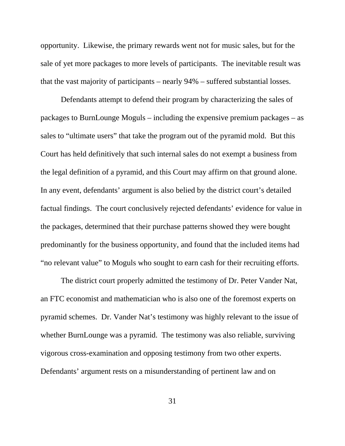opportunity. Likewise, the primary rewards went not for music sales, but for the sale of yet more packages to more levels of participants. The inevitable result was that the vast majority of participants – nearly 94% – suffered substantial losses.

Defendants attempt to defend their program by characterizing the sales of packages to BurnLounge Moguls – including the expensive premium packages – as sales to "ultimate users" that take the program out of the pyramid mold. But this Court has held definitively that such internal sales do not exempt a business from the legal definition of a pyramid, and this Court may affirm on that ground alone. In any event, defendants' argument is also belied by the district court's detailed factual findings. The court conclusively rejected defendants' evidence for value in the packages, determined that their purchase patterns showed they were bought predominantly for the business opportunity, and found that the included items had "no relevant value" to Moguls who sought to earn cash for their recruiting efforts.

The district court properly admitted the testimony of Dr. Peter Vander Nat, an FTC economist and mathematician who is also one of the foremost experts on pyramid schemes. Dr. Vander Nat's testimony was highly relevant to the issue of whether BurnLounge was a pyramid. The testimony was also reliable, surviving vigorous cross-examination and opposing testimony from two other experts. Defendants' argument rests on a misunderstanding of pertinent law and on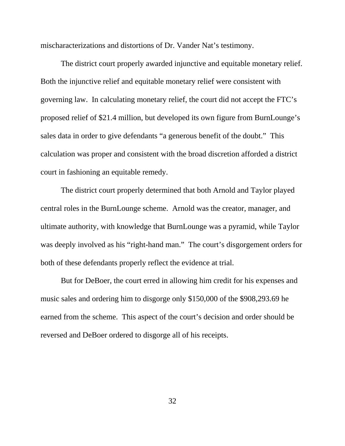mischaracterizations and distortions of Dr. Vander Nat's testimony.

The district court properly awarded injunctive and equitable monetary relief. Both the injunctive relief and equitable monetary relief were consistent with governing law. In calculating monetary relief, the court did not accept the FTC's proposed relief of \$21.4 million, but developed its own figure from BurnLounge's sales data in order to give defendants "a generous benefit of the doubt." This calculation was proper and consistent with the broad discretion afforded a district court in fashioning an equitable remedy.

The district court properly determined that both Arnold and Taylor played central roles in the BurnLounge scheme. Arnold was the creator, manager, and ultimate authority, with knowledge that BurnLounge was a pyramid, while Taylor was deeply involved as his "right-hand man." The court's disgorgement orders for both of these defendants properly reflect the evidence at trial.

But for DeBoer, the court erred in allowing him credit for his expenses and music sales and ordering him to disgorge only \$150,000 of the \$908,293.69 he earned from the scheme. This aspect of the court's decision and order should be reversed and DeBoer ordered to disgorge all of his receipts.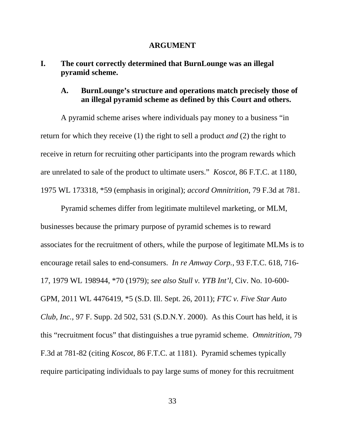#### **ARGUMENT**

# **I. The court correctly determined that BurnLounge was an illegal pyramid scheme.**

### **A. BurnLounge's structure and operations match precisely those of an illegal pyramid scheme as defined by this Court and others.**

A pyramid scheme arises where individuals pay money to a business "in return for which they receive (1) the right to sell a product *and* (2) the right to receive in return for recruiting other participants into the program rewards which are unrelated to sale of the product to ultimate users." *Koscot*, 86 F.T.C. at 1180, 1975 WL 173318, \*59 (emphasis in original); *accord Omnitrition*, 79 F.3d at 781.

Pyramid schemes differ from legitimate multilevel marketing, or MLM, businesses because the primary purpose of pyramid schemes is to reward associates for the recruitment of others, while the purpose of legitimate MLMs is to encourage retail sales to end-consumers. *In re Amway Corp.*, 93 F.T.C. 618, 716- 17, 1979 WL 198944, \*70 (1979); *see also Stull v. YTB Int'l*, Civ. No. 10-600- GPM, 2011 WL 4476419, \*5 (S.D. Ill. Sept. 26, 2011); *FTC v. Five Star Auto Club, Inc.*, 97 F. Supp. 2d 502, 531 (S.D.N.Y. 2000). As this Court has held, it is this "recruitment focus" that distinguishes a true pyramid scheme. *Omnitrition*, 79 F.3d at 781-82 (citing *Koscot*, 86 F.T.C. at 1181). Pyramid schemes typically require participating individuals to pay large sums of money for this recruitment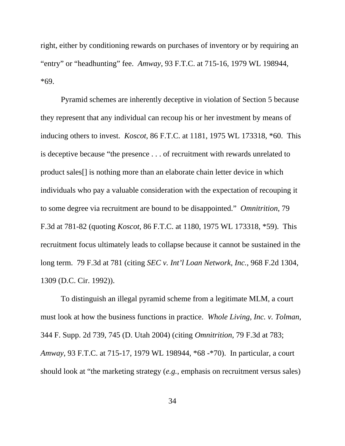right, either by conditioning rewards on purchases of inventory or by requiring an "entry" or "headhunting" fee. *Amway*, 93 F.T.C. at 715-16, 1979 WL 198944, \*69.

Pyramid schemes are inherently deceptive in violation of Section 5 because they represent that any individual can recoup his or her investment by means of inducing others to invest. *Koscot*, 86 F.T.C. at 1181, 1975 WL 173318, \*60. This is deceptive because "the presence . . . of recruitment with rewards unrelated to product sales[] is nothing more than an elaborate chain letter device in which individuals who pay a valuable consideration with the expectation of recouping it to some degree via recruitment are bound to be disappointed." *Omnitrition*, 79 F.3d at 781-82 (quoting *Koscot*, 86 F.T.C. at 1180, 1975 WL 173318, \*59). This recruitment focus ultimately leads to collapse because it cannot be sustained in the long term. 79 F.3d at 781 (citing *SEC v. Int'l Loan Network, Inc.*, 968 F.2d 1304, 1309 (D.C. Cir. 1992)).

To distinguish an illegal pyramid scheme from a legitimate MLM, a court must look at how the business functions in practice. *Whole Living, Inc. v. Tolman*, 344 F. Supp. 2d 739, 745 (D. Utah 2004) (citing *Omnitrition*, 79 F.3d at 783; *Amway*, 93 F.T.C. at 715-17, 1979 WL 198944, \*68 -\*70). In particular, a court should look at "the marketing strategy (*e.g.*, emphasis on recruitment versus sales)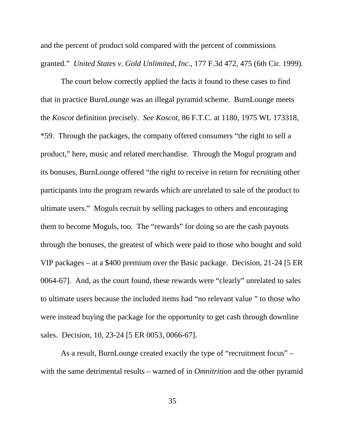and the percent of product sold compared with the percent of commissions granted." *United States v. Gold Unlimited, Inc.*, 177 F.3d 472, 475 (6th Cir. 1999).

 The court below correctly applied the facts it found to these cases to find that in practice BurnLounge was an illegal pyramid scheme. BurnLounge meets the *Koscot* definition precisely. *See Koscot*, 86 F.T.C. at 1180, 1975 WL 173318, \*59. Through the packages, the company offered consumers "the right to sell a product," here, music and related merchandise. Through the Mogul program and its bonuses, BurnLounge offered "the right to receive in return for recruiting other participants into the program rewards which are unrelated to sale of the product to ultimate users." Moguls recruit by selling packages to others and encouraging them to become Moguls, too. The "rewards" for doing so are the cash payouts through the bonuses, the greatest of which were paid to those who bought and sold VIP packages – at a \$400 premium over the Basic package. Decision, 21-24 [5 ER 0064-67]. And, as the court found, these rewards were "clearly" unrelated to sales to ultimate users because the included items had "no relevant value " to those who were instead buying the package for the opportunity to get cash through downline sales. Decision, 10, 23-24 [5 ER 0053, 0066-67].

As a result, BurnLounge created exactly the type of "recruitment focus" – with the same detrimental results – warned of in *Omnitrition* and the other pyramid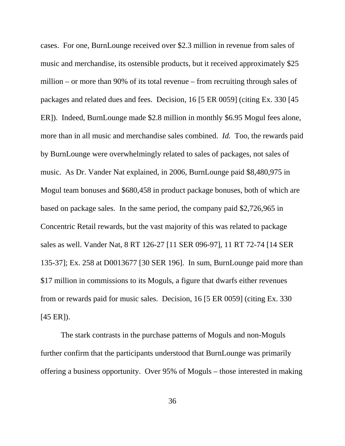cases. For one, BurnLounge received over \$2.3 million in revenue from sales of music and merchandise, its ostensible products, but it received approximately \$25 million – or more than 90% of its total revenue – from recruiting through sales of packages and related dues and fees. Decision, 16 [5 ER 0059] (citing Ex. 330 [45 ER]). Indeed, BurnLounge made \$2.8 million in monthly \$6.95 Mogul fees alone, more than in all music and merchandise sales combined. *Id.* Too, the rewards paid by BurnLounge were overwhelmingly related to sales of packages, not sales of music. As Dr. Vander Nat explained, in 2006, BurnLounge paid \$8,480,975 in Mogul team bonuses and \$680,458 in product package bonuses, both of which are based on package sales. In the same period, the company paid \$2,726,965 in Concentric Retail rewards, but the vast majority of this was related to package sales as well. Vander Nat, 8 RT 126-27 [11 SER 096-97], 11 RT 72-74 [14 SER 135-37]; Ex. 258 at D0013677 [30 SER 196]. In sum, BurnLounge paid more than \$17 million in commissions to its Moguls, a figure that dwarfs either revenues from or rewards paid for music sales. Decision, 16 [5 ER 0059] (citing Ex. 330 [45 ER]).

The stark contrasts in the purchase patterns of Moguls and non-Moguls further confirm that the participants understood that BurnLounge was primarily offering a business opportunity. Over 95% of Moguls – those interested in making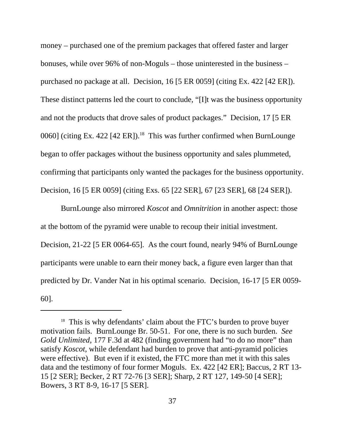money – purchased one of the premium packages that offered faster and larger bonuses, while over 96% of non-Moguls – those uninterested in the business – purchased no package at all. Decision, 16 [5 ER 0059] (citing Ex. 422 [42 ER]). These distinct patterns led the court to conclude, "[I]t was the business opportunity and not the products that drove sales of product packages." Decision, 17 [5 ER 0060] (citing Ex. 422 [42 ER]).<sup>18</sup> This was further confirmed when BurnLounge began to offer packages without the business opportunity and sales plummeted, confirming that participants only wanted the packages for the business opportunity. Decision, 16 [5 ER 0059] (citing Exs. 65 [22 SER], 67 [23 SER], 68 [24 SER]).

BurnLounge also mirrored *Koscot* and *Omnitrition* in another aspect: those at the bottom of the pyramid were unable to recoup their initial investment. Decision, 21-22 [5 ER 0064-65]. As the court found, nearly 94% of BurnLounge participants were unable to earn their money back, a figure even larger than that predicted by Dr. Vander Nat in his optimal scenario. Decision, 16-17 [5 ER 0059- 60].

<sup>&</sup>lt;sup>18</sup> This is why defendants' claim about the FTC's burden to prove buyer motivation fails. BurnLounge Br. 50-51. For one, there is no such burden. *See Gold Unlimited*, 177 F.3d at 482 (finding government had "to do no more" than satisfy *Koscot*, while defendant had burden to prove that anti-pyramid policies were effective). But even if it existed, the FTC more than met it with this sales data and the testimony of four former Moguls. Ex. 422 [42 ER]; Baccus, 2 RT 13- 15 [2 SER]; Becker, 2 RT 72-76 [3 SER]; Sharp, 2 RT 127, 149-50 [4 SER]; Bowers, 3 RT 8-9, 16-17 [5 SER].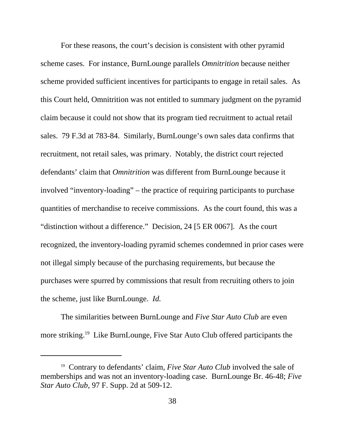For these reasons, the court's decision is consistent with other pyramid scheme cases. For instance, BurnLounge parallels *Omnitrition* because neither scheme provided sufficient incentives for participants to engage in retail sales. As this Court held, Omnitrition was not entitled to summary judgment on the pyramid claim because it could not show that its program tied recruitment to actual retail sales. 79 F.3d at 783-84. Similarly, BurnLounge's own sales data confirms that recruitment, not retail sales, was primary. Notably, the district court rejected defendants' claim that *Omnitrition* was different from BurnLounge because it involved "inventory-loading" – the practice of requiring participants to purchase quantities of merchandise to receive commissions. As the court found, this was a "distinction without a difference." Decision, 24 [5 ER 0067]. As the court recognized, the inventory-loading pyramid schemes condemned in prior cases were not illegal simply because of the purchasing requirements, but because the purchases were spurred by commissions that result from recruiting others to join the scheme, just like BurnLounge. *Id.*

The similarities between BurnLounge and *Five Star Auto Club* are even more striking.<sup>19</sup> Like BurnLounge, Five Star Auto Club offered participants the

<sup>19</sup> Contrary to defendants' claim, *Five Star Auto Club* involved the sale of memberships and was not an inventory-loading case. BurnLounge Br. 46-48; *Five Star Auto Club*, 97 F. Supp. 2d at 509-12.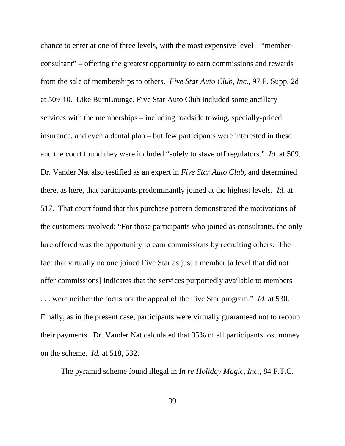chance to enter at one of three levels, with the most expensive level – "memberconsultant" – offering the greatest opportunity to earn commissions and rewards from the sale of memberships to others. *Five Star Auto Club, Inc.*, 97 F. Supp. 2d at 509-10. Like BurnLounge, Five Star Auto Club included some ancillary services with the memberships – including roadside towing, specially-priced insurance, and even a dental plan – but few participants were interested in these and the court found they were included "solely to stave off regulators." *Id.* at 509. Dr. Vander Nat also testified as an expert in *Five Star Auto Club*, and determined there, as here, that participants predominantly joined at the highest levels. *Id.* at 517. That court found that this purchase pattern demonstrated the motivations of the customers involved: "For those participants who joined as consultants, the only lure offered was the opportunity to earn commissions by recruiting others. The fact that virtually no one joined Five Star as just a member [a level that did not offer commissions] indicates that the services purportedly available to members . . . were neither the focus nor the appeal of the Five Star program." *Id.* at 530. Finally, as in the present case, participants were virtually guaranteed not to recoup their payments. Dr. Vander Nat calculated that 95% of all participants lost money on the scheme. *Id.* at 518, 532.

The pyramid scheme found illegal in *In re Holiday Magic, Inc.*, 84 F.T.C.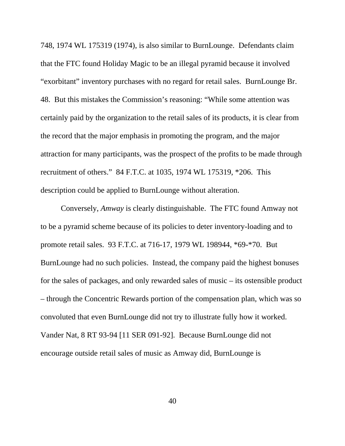748, 1974 WL 175319 (1974), is also similar to BurnLounge. Defendants claim that the FTC found Holiday Magic to be an illegal pyramid because it involved "exorbitant" inventory purchases with no regard for retail sales. BurnLounge Br. 48. But this mistakes the Commission's reasoning: "While some attention was certainly paid by the organization to the retail sales of its products, it is clear from the record that the major emphasis in promoting the program, and the major attraction for many participants, was the prospect of the profits to be made through recruitment of others." 84 F.T.C. at 1035, 1974 WL 175319, \*206. This description could be applied to BurnLounge without alteration.

Conversely, *Amway* is clearly distinguishable. The FTC found Amway not to be a pyramid scheme because of its policies to deter inventory-loading and to promote retail sales. 93 F.T.C. at 716-17, 1979 WL 198944, \*69-\*70. But BurnLounge had no such policies. Instead, the company paid the highest bonuses for the sales of packages, and only rewarded sales of music – its ostensible product – through the Concentric Rewards portion of the compensation plan, which was so convoluted that even BurnLounge did not try to illustrate fully how it worked. Vander Nat, 8 RT 93-94 [11 SER 091-92]. Because BurnLounge did not encourage outside retail sales of music as Amway did, BurnLounge is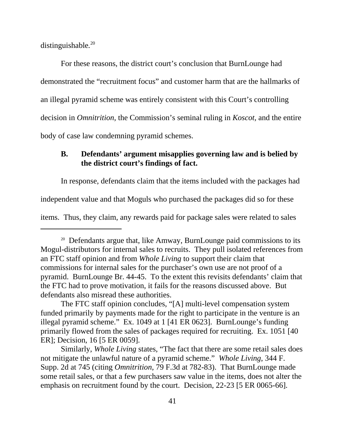distinguishable*.* 20

For these reasons, the district court's conclusion that BurnLounge had demonstrated the "recruitment focus" and customer harm that are the hallmarks of an illegal pyramid scheme was entirely consistent with this Court's controlling decision in *Omnitrition*, the Commission's seminal ruling in *Koscot*, and the entire body of case law condemning pyramid schemes.

## **B. Defendants' argument misapplies governing law and is belied by the district court's findings of fact.**

In response, defendants claim that the items included with the packages had

independent value and that Moguls who purchased the packages did so for these

items. Thus, they claim, any rewards paid for package sales were related to sales

The FTC staff opinion concludes, "[A] multi-level compensation system funded primarily by payments made for the right to participate in the venture is an illegal pyramid scheme." Ex. 1049 at 1 [41 ER 0623]. BurnLounge's funding primarily flowed from the sales of packages required for recruiting. Ex. 1051 [40 ER]; Decision, 16 [5 ER 0059].

Similarly, *Whole Living* states, "The fact that there are some retail sales does not mitigate the unlawful nature of a pyramid scheme." *Whole Living*, 344 F. Supp. 2d at 745 (citing *Omnitrition*, 79 F.3d at 782-83). That BurnLounge made some retail sales, or that a few purchasers saw value in the items, does not alter the emphasis on recruitment found by the court. Decision, 22-23 [5 ER 0065-66].

<sup>&</sup>lt;sup>20</sup> Defendants argue that, like Amway, BurnLounge paid commissions to its Mogul-distributors for internal sales to recruits. They pull isolated references from an FTC staff opinion and from *Whole Living* to support their claim that commissions for internal sales for the purchaser's own use are not proof of a pyramid. BurnLounge Br. 44-45. To the extent this revisits defendants' claim that the FTC had to prove motivation, it fails for the reasons discussed above. But defendants also misread these authorities.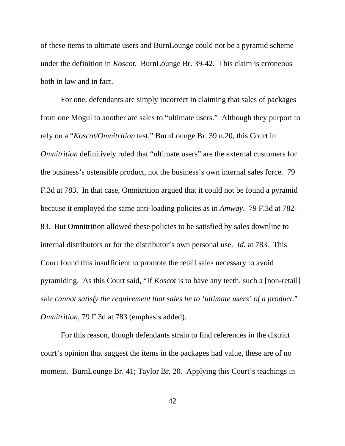of these items to ultimate users and BurnLounge could not be a pyramid scheme under the definition in *Koscot*. BurnLounge Br. 39-42. This claim is erroneous both in law and in fact.

For one, defendants are simply incorrect in claiming that sales of packages from one Mogul to another are sales to "ultimate users." Although they purport to rely on a "*Koscot/Omnitrition* test," BurnLounge Br. 39 n.20, this Court in *Omnitrition* definitively ruled that "ultimate users" are the external customers for the business's ostensible product, not the business's own internal sales force. 79 F.3d at 783. In that case, Omnitrition argued that it could not be found a pyramid because it employed the same anti-loading policies as in *Amway*. 79 F.3d at 782- 83. But Omnitrition allowed these policies to be satisfied by sales downline to internal distributors or for the distributor's own personal use. *Id.* at 783. This Court found this insufficient to promote the retail sales necessary to avoid pyramiding. As this Court said, "If *Koscot* is to have any teeth, such a [non-retail] sale *cannot satisfy the requirement that sales be to 'ultimate users' of a product*." *Omnitrition*, 79 F.3d at 783 (emphasis added).

For this reason, though defendants strain to find references in the district court's opinion that suggest the items in the packages had value, these are of no moment. BurnLounge Br. 41; Taylor Br. 20. Applying this Court's teachings in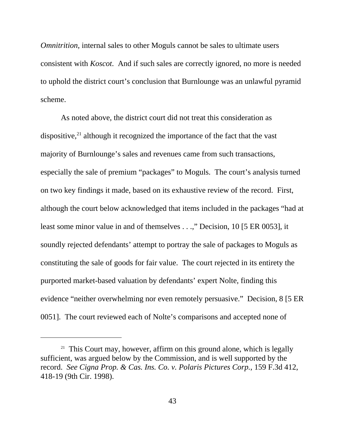*Omnitrition, internal sales to other Moguls cannot be sales to ultimate users* consistent with *Koscot*. And if such sales are correctly ignored, no more is needed to uphold the district court's conclusion that Burnlounge was an unlawful pyramid scheme.

As noted above, the district court did not treat this consideration as dispositive, $^{21}$  although it recognized the importance of the fact that the vast majority of Burnlounge's sales and revenues came from such transactions, especially the sale of premium "packages" to Moguls. The court's analysis turned on two key findings it made, based on its exhaustive review of the record. First, although the court below acknowledged that items included in the packages "had at least some minor value in and of themselves . . .," Decision, 10 [5 ER 0053], it soundly rejected defendants' attempt to portray the sale of packages to Moguls as constituting the sale of goods for fair value. The court rejected in its entirety the purported market-based valuation by defendants' expert Nolte, finding this evidence "neither overwhelming nor even remotely persuasive." Decision, 8 [5 ER 0051]. The court reviewed each of Nolte's comparisons and accepted none of

<sup>&</sup>lt;sup>21</sup> This Court may, however, affirm on this ground alone, which is legally sufficient, was argued below by the Commission, and is well supported by the record. *See Cigna Prop. & Cas. Ins. Co. v. Polaris Pictures Corp.*, 159 F.3d 412, 418-19 (9th Cir. 1998).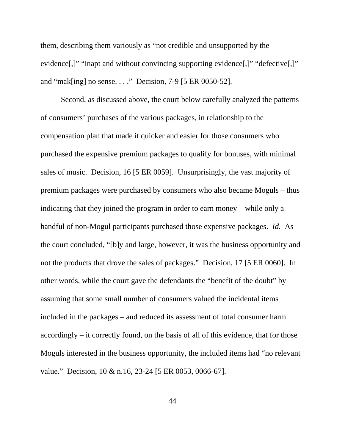them, describing them variously as "not credible and unsupported by the evidence[,]" "inapt and without convincing supporting evidence[,]" "defective[,]" and "mak[ing] no sense. . . ." Decision, 7-9 [5 ER 0050-52].

Second, as discussed above, the court below carefully analyzed the patterns of consumers' purchases of the various packages, in relationship to the compensation plan that made it quicker and easier for those consumers who purchased the expensive premium packages to qualify for bonuses, with minimal sales of music. Decision, 16 [5 ER 0059]. Unsurprisingly, the vast majority of premium packages were purchased by consumers who also became Moguls – thus indicating that they joined the program in order to earn money – while only a handful of non-Mogul participants purchased those expensive packages. *Id.* As the court concluded, "[b]y and large, however, it was the business opportunity and not the products that drove the sales of packages." Decision, 17 [5 ER 0060]. In other words, while the court gave the defendants the "benefit of the doubt" by assuming that some small number of consumers valued the incidental items included in the packages – and reduced its assessment of total consumer harm accordingly – it correctly found, on the basis of all of this evidence, that for those Moguls interested in the business opportunity, the included items had "no relevant value." Decision, 10 & n.16, 23-24 [5 ER 0053, 0066-67].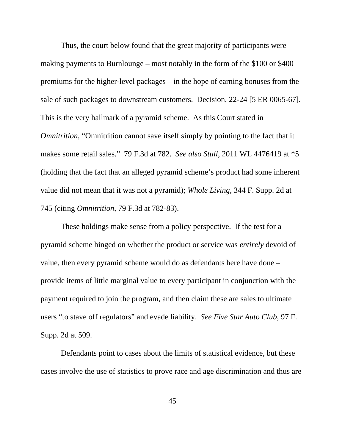Thus, the court below found that the great majority of participants were making payments to Burnlounge – most notably in the form of the \$100 or \$400 premiums for the higher-level packages – in the hope of earning bonuses from the sale of such packages to downstream customers. Decision, 22-24 [5 ER 0065-67]. This is the very hallmark of a pyramid scheme. As this Court stated in *Omnitrition*, "Omnitrition cannot save itself simply by pointing to the fact that it makes some retail sales." 79 F.3d at 782. *See also Stull*, 2011 WL 4476419 at \*5 (holding that the fact that an alleged pyramid scheme's product had some inherent value did not mean that it was not a pyramid); *Whole Living*, 344 F. Supp. 2d at 745 (citing *Omnitrition*, 79 F.3d at 782-83).

These holdings make sense from a policy perspective. If the test for a pyramid scheme hinged on whether the product or service was *entirely* devoid of value, then every pyramid scheme would do as defendants here have done – provide items of little marginal value to every participant in conjunction with the payment required to join the program, and then claim these are sales to ultimate users "to stave off regulators" and evade liability. *See Five Star Auto Club*, 97 F. Supp. 2d at 509.

Defendants point to cases about the limits of statistical evidence, but these cases involve the use of statistics to prove race and age discrimination and thus are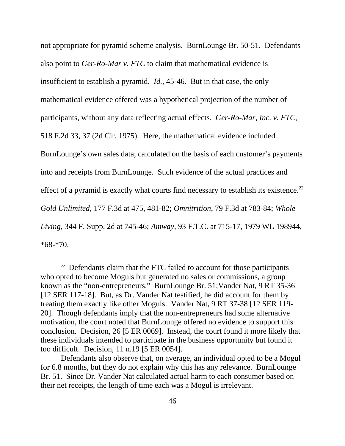not appropriate for pyramid scheme analysis. BurnLounge Br. 50-51. Defendants also point to *Ger-Ro-Mar v. FTC* to claim that mathematical evidence is insufficient to establish a pyramid. *Id.*, 45-46. But in that case, the only mathematical evidence offered was a hypothetical projection of the number of participants, without any data reflecting actual effects. *Ger-Ro-Mar, Inc. v. FTC*, 518 F.2d 33, 37 (2d Cir. 1975). Here, the mathematical evidence included BurnLounge's own sales data, calculated on the basis of each customer's payments into and receipts from BurnLounge. Such evidence of the actual practices and effect of a pyramid is exactly what courts find necessary to establish its existence.<sup>22</sup> *Gold Unlimited*, 177 F.3d at 475, 481-82; *Omnitrition*, 79 F.3d at 783-84; *Whole Living*, 344 F. Supp. 2d at 745-46; *Amway*, 93 F.T.C. at 715-17, 1979 WL 198944, \*68-\*70.

 $22$  Defendants claim that the FTC failed to account for those participants who opted to become Moguls but generated no sales or commissions, a group known as the "non-entrepreneurs." BurnLounge Br. 51;Vander Nat, 9 RT 35-36 [12 SER 117-18]. But, as Dr. Vander Nat testified, he did account for them by treating them exactly like other Moguls. Vander Nat, 9 RT 37-38 [12 SER 119- 20]. Though defendants imply that the non-entrepreneurs had some alternative motivation, the court noted that BurnLounge offered no evidence to support this conclusion. Decision, 26 [5 ER 0069]. Instead, the court found it more likely that these individuals intended to participate in the business opportunity but found it too difficult. Decision, 11 n.19 [5 ER 0054].

Defendants also observe that, on average, an individual opted to be a Mogul for 6.8 months, but they do not explain why this has any relevance. BurnLounge Br. 51. Since Dr. Vander Nat calculated actual harm to each consumer based on their net receipts, the length of time each was a Mogul is irrelevant.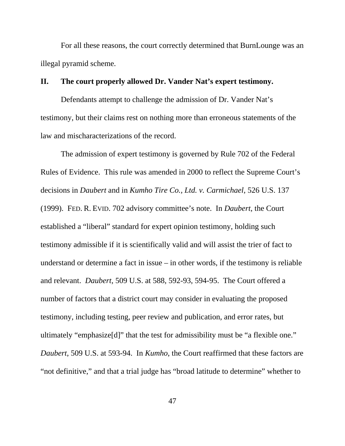For all these reasons, the court correctly determined that BurnLounge was an illegal pyramid scheme.

### **II. The court properly allowed Dr. Vander Nat's expert testimony.**

Defendants attempt to challenge the admission of Dr. Vander Nat's testimony, but their claims rest on nothing more than erroneous statements of the law and mischaracterizations of the record.

The admission of expert testimony is governed by Rule 702 of the Federal Rules of Evidence. This rule was amended in 2000 to reflect the Supreme Court's decisions in *Daubert* and in *Kumho Tire Co., Ltd. v. Carmichael*, 526 U.S. 137 (1999). FED. R. EVID. 702 advisory committee's note. In *Daubert*, the Court established a "liberal" standard for expert opinion testimony, holding such testimony admissible if it is scientifically valid and will assist the trier of fact to understand or determine a fact in issue – in other words, if the testimony is reliable and relevant. *Daubert*, 509 U.S. at 588, 592-93, 594-95. The Court offered a number of factors that a district court may consider in evaluating the proposed testimony, including testing, peer review and publication, and error rates, but ultimately "emphasize[d]" that the test for admissibility must be "a flexible one." *Daubert*, 509 U.S. at 593-94. In *Kumho*, the Court reaffirmed that these factors are "not definitive," and that a trial judge has "broad latitude to determine" whether to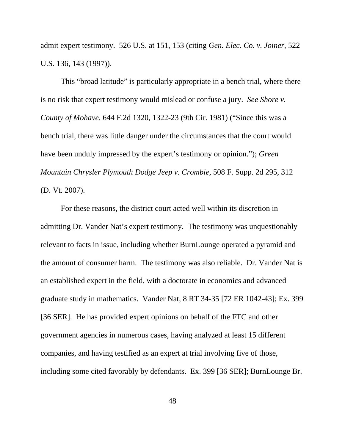admit expert testimony. 526 U.S. at 151, 153 (citing *Gen. Elec. Co. v. Joiner*, 522 U.S. 136, 143 (1997)).

This "broad latitude" is particularly appropriate in a bench trial, where there is no risk that expert testimony would mislead or confuse a jury. *See Shore v. County of Mohave*, 644 F.2d 1320, 1322-23 (9th Cir. 1981) ("Since this was a bench trial, there was little danger under the circumstances that the court would have been unduly impressed by the expert's testimony or opinion."); *Green Mountain Chrysler Plymouth Dodge Jeep v. Crombie*, 508 F. Supp. 2d 295, 312 (D. Vt. 2007).

For these reasons, the district court acted well within its discretion in admitting Dr. Vander Nat's expert testimony. The testimony was unquestionably relevant to facts in issue, including whether BurnLounge operated a pyramid and the amount of consumer harm. The testimony was also reliable. Dr. Vander Nat is an established expert in the field, with a doctorate in economics and advanced graduate study in mathematics. Vander Nat, 8 RT 34-35 [72 ER 1042-43]; Ex. 399 [36 SER]. He has provided expert opinions on behalf of the FTC and other government agencies in numerous cases, having analyzed at least 15 different companies, and having testified as an expert at trial involving five of those, including some cited favorably by defendants. Ex. 399 [36 SER]; BurnLounge Br.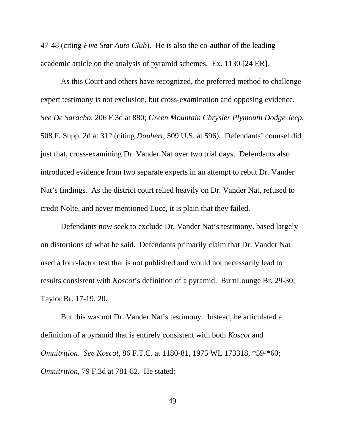47-48 (citing *Five Star Auto Club*). He is also the co-author of the leading academic article on the analysis of pyramid schemes. Ex. 1130 [24 ER].

As this Court and others have recognized, the preferred method to challenge expert testimony is not exclusion, but cross-examination and opposing evidence. *See De Saracho*, 206 F.3d at 880; *Green Mountain Chrysler Plymouth Dodge Jeep*, 508 F. Supp. 2d at 312 (citing *Daubert*, 509 U.S. at 596). Defendants' counsel did just that, cross-examining Dr. Vander Nat over two trial days. Defendants also introduced evidence from two separate experts in an attempt to rebut Dr. Vander Nat's findings. As the district court relied heavily on Dr. Vander Nat, refused to credit Nolte, and never mentioned Luce, it is plain that they failed.

Defendants now seek to exclude Dr. Vander Nat's testimony, based largely on distortions of what he said. Defendants primarily claim that Dr. Vander Nat used a four-factor test that is not published and would not necessarily lead to results consistent with *Koscot*'s definition of a pyramid. BurnLounge Br. 29-30; Taylor Br. 17-19, 20.

But this was not Dr. Vander Nat's testimony. Instead, he articulated a definition of a pyramid that is entirely consistent with both *Koscot* and *Omnitrition*. *See Koscot*, 86 F.T.C. at 1180-81, 1975 WL 173318, \*59-\*60; *Omnitrition*, 79 F.3d at 781-82. He stated: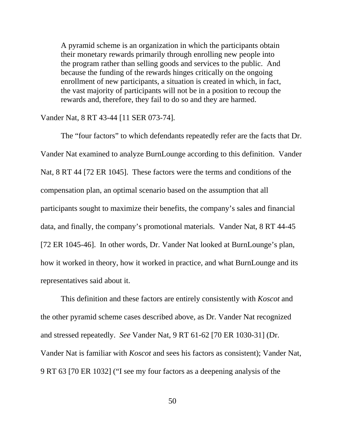A pyramid scheme is an organization in which the participants obtain their monetary rewards primarily through enrolling new people into the program rather than selling goods and services to the public. And because the funding of the rewards hinges critically on the ongoing enrollment of new participants, a situation is created in which, in fact, the vast majority of participants will not be in a position to recoup the rewards and, therefore, they fail to do so and they are harmed.

Vander Nat, 8 RT 43-44 [11 SER 073-74].

The "four factors" to which defendants repeatedly refer are the facts that Dr. Vander Nat examined to analyze BurnLounge according to this definition. Vander Nat, 8 RT 44 [72 ER 1045]. These factors were the terms and conditions of the compensation plan, an optimal scenario based on the assumption that all participants sought to maximize their benefits, the company's sales and financial data, and finally, the company's promotional materials. Vander Nat, 8 RT 44-45 [72 ER 1045-46]. In other words, Dr. Vander Nat looked at BurnLounge's plan, how it worked in theory, how it worked in practice, and what BurnLounge and its representatives said about it.

This definition and these factors are entirely consistently with *Koscot* and the other pyramid scheme cases described above, as Dr. Vander Nat recognized and stressed repeatedly. *See* Vander Nat, 9 RT 61-62 [70 ER 1030-31] (Dr. Vander Nat is familiar with *Koscot* and sees his factors as consistent); Vander Nat, 9 RT 63 [70 ER 1032] ("I see my four factors as a deepening analysis of the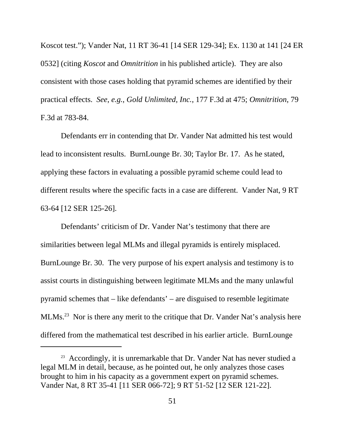Koscot test."); Vander Nat, 11 RT 36-41 [14 SER 129-34]; Ex. 1130 at 141 [24 ER 0532] (citing *Koscot* and *Omnitrition* in his published article). They are also consistent with those cases holding that pyramid schemes are identified by their practical effects. *See*, *e.g.*, *Gold Unlimited, Inc.*, 177 F.3d at 475; *Omnitrition*, 79 F.3d at 783-84.

Defendants err in contending that Dr. Vander Nat admitted his test would lead to inconsistent results. BurnLounge Br. 30; Taylor Br. 17. As he stated, applying these factors in evaluating a possible pyramid scheme could lead to different results where the specific facts in a case are different. Vander Nat, 9 RT 63-64 [12 SER 125-26].

Defendants' criticism of Dr. Vander Nat's testimony that there are similarities between legal MLMs and illegal pyramids is entirely misplaced. BurnLounge Br. 30. The very purpose of his expert analysis and testimony is to assist courts in distinguishing between legitimate MLMs and the many unlawful pyramid schemes that – like defendants' – are disguised to resemble legitimate MLMs.23 Nor is there any merit to the critique that Dr. Vander Nat's analysis here differed from the mathematical test described in his earlier article. BurnLounge

<sup>&</sup>lt;sup>23</sup> Accordingly, it is unremarkable that Dr. Vander Nat has never studied a legal MLM in detail, because, as he pointed out, he only analyzes those cases brought to him in his capacity as a government expert on pyramid schemes. Vander Nat, 8 RT 35-41 [11 SER 066-72]; 9 RT 51-52 [12 SER 121-22].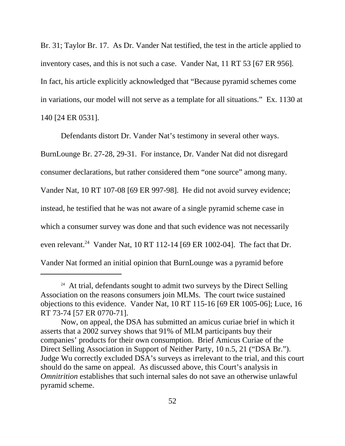Br. 31; Taylor Br. 17. As Dr. Vander Nat testified, the test in the article applied to inventory cases, and this is not such a case. Vander Nat, 11 RT 53 [67 ER 956]. In fact, his article explicitly acknowledged that "Because pyramid schemes come in variations, our model will not serve as a template for all situations." Ex. 1130 at 140 [24 ER 0531].

Defendants distort Dr. Vander Nat's testimony in several other ways. BurnLounge Br. 27-28, 29-31. For instance, Dr. Vander Nat did not disregard consumer declarations, but rather considered them "one source" among many. Vander Nat, 10 RT 107-08 [69 ER 997-98]. He did not avoid survey evidence; instead, he testified that he was not aware of a single pyramid scheme case in which a consumer survey was done and that such evidence was not necessarily even relevant.<sup>24</sup> Vander Nat, 10 RT 112-14 [69 ER 1002-04]. The fact that Dr. Vander Nat formed an initial opinion that BurnLounge was a pyramid before

 $24$  At trial, defendants sought to admit two surveys by the Direct Selling Association on the reasons consumers join MLMs. The court twice sustained objections to this evidence. Vander Nat, 10 RT 115-16 [69 ER 1005-06]; Luce, 16 RT 73-74 [57 ER 0770-71].

Now, on appeal, the DSA has submitted an amicus curiae brief in which it asserts that a 2002 survey shows that 91% of MLM participants buy their companies' products for their own consumption. Brief Amicus Curiae of the Direct Selling Association in Support of Neither Party, 10 n.5, 21 ("DSA Br."). Judge Wu correctly excluded DSA's surveys as irrelevant to the trial, and this court should do the same on appeal. As discussed above, this Court's analysis in *Omnitrition* establishes that such internal sales do not save an otherwise unlawful pyramid scheme.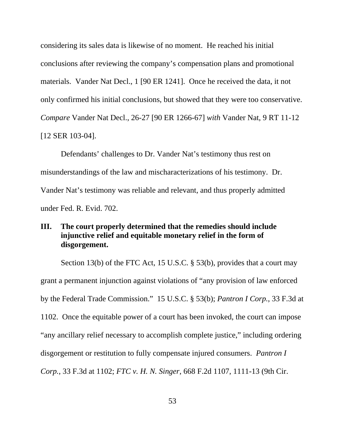considering its sales data is likewise of no moment. He reached his initial conclusions after reviewing the company's compensation plans and promotional materials. Vander Nat Decl., 1 [90 ER 1241]. Once he received the data, it not only confirmed his initial conclusions, but showed that they were too conservative. *Compare* Vander Nat Decl., 26-27 [90 ER 1266-67] *with* Vander Nat, 9 RT 11-12 [12 SER 103-04].

Defendants' challenges to Dr. Vander Nat's testimony thus rest on misunderstandings of the law and mischaracterizations of his testimony. Dr. Vander Nat's testimony was reliable and relevant, and thus properly admitted under Fed. R. Evid. 702.

# **III. The court properly determined that the remedies should include injunctive relief and equitable monetary relief in the form of disgorgement.**

Section 13(b) of the FTC Act, 15 U.S.C. § 53(b), provides that a court may grant a permanent injunction against violations of "any provision of law enforced by the Federal Trade Commission." 15 U.S.C. § 53(b); *Pantron I Corp.*, 33 F.3d at 1102. Once the equitable power of a court has been invoked, the court can impose "any ancillary relief necessary to accomplish complete justice," including ordering disgorgement or restitution to fully compensate injured consumers. *Pantron I Corp.*, 33 F.3d at 1102; *FTC v. H. N. Singer*, 668 F.2d 1107, 1111-13 (9th Cir.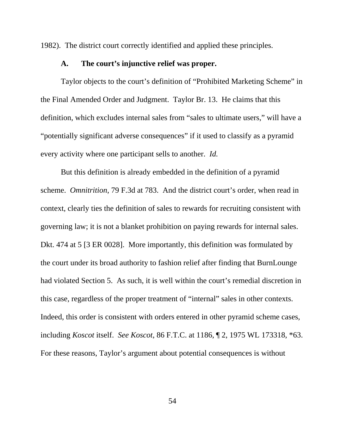1982). The district court correctly identified and applied these principles.

### **A. The court's injunctive relief was proper.**

Taylor objects to the court's definition of "Prohibited Marketing Scheme" in the Final Amended Order and Judgment. Taylor Br. 13. He claims that this definition, which excludes internal sales from "sales to ultimate users," will have a "potentially significant adverse consequences" if it used to classify as a pyramid every activity where one participant sells to another. *Id.*

But this definition is already embedded in the definition of a pyramid scheme. *Omnitrition*, 79 F.3d at 783. And the district court's order, when read in context, clearly ties the definition of sales to rewards for recruiting consistent with governing law; it is not a blanket prohibition on paying rewards for internal sales. Dkt. 474 at 5 [3 ER 0028]. More importantly, this definition was formulated by the court under its broad authority to fashion relief after finding that BurnLounge had violated Section 5. As such, it is well within the court's remedial discretion in this case, regardless of the proper treatment of "internal" sales in other contexts. Indeed, this order is consistent with orders entered in other pyramid scheme cases, including *Koscot* itself. *See Koscot*, 86 F.T.C. at 1186, ¶ 2, 1975 WL 173318, \*63. For these reasons, Taylor's argument about potential consequences is without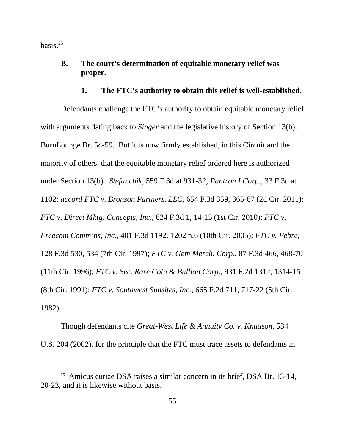basis. $^{25}$ 

# **B. The court's determination of equitable monetary relief was proper.**

#### **1. The FTC's authority to obtain this relief is well-established.**

Defendants challenge the FTC's authority to obtain equitable monetary relief with arguments dating back to *Singer* and the legislative history of Section 13(b). BurnLounge Br. 54-59. But it is now firmly established, in this Circuit and the majority of others, that the equitable monetary relief ordered here is authorized under Section 13(b). *Stefanchik*, 559 F.3d at 931-32; *Pantron I Corp.*, 33 F.3d at 1102; *accord FTC v. Bronson Partners, LLC*, 654 F.3d 359, 365-67 (2d Cir. 2011); *FTC v. Direct Mktg. Concepts, Inc.*, 624 F.3d 1, 14-15 (1st Cir. 2010); *FTC v. Freecom Comm'ns, Inc.*, 401 F.3d 1192, 1202 n.6 (10th Cir. 2005); *FTC v. Febre*, 128 F.3d 530, 534 (7th Cir. 1997); *FTC v. Gem Merch. Corp.*, 87 F.3d 466, 468-70 (11th Cir. 1996); *FTC v. Sec. Rare Coin & Bullion Corp*., 931 F.2d 1312, 1314-15 (8th Cir. 1991); *FTC v. Southwest Sunsites, Inc.*, 665 F.2d 711, 717-22 (5th Cir. 1982).

 Though defendants cite *Great-West Life & Annuity Co. v. Knudson*, 534 U.S. 204 (2002), for the principle that the FTC must trace assets to defendants in

<sup>&</sup>lt;sup>25</sup> Amicus curiae DSA raises a similar concern in its brief, DSA Br. 13-14, 20-23, and it is likewise without basis.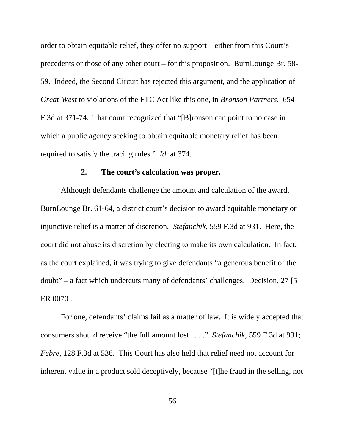order to obtain equitable relief, they offer no support – either from this Court's precedents or those of any other court – for this proposition. BurnLounge Br. 58- 59. Indeed, the Second Circuit has rejected this argument, and the application of *Great-West* to violations of the FTC Act like this one, in *Bronson Partners*. 654 F.3d at 371-74. That court recognized that "[B]ronson can point to no case in which a public agency seeking to obtain equitable monetary relief has been required to satisfy the tracing rules." *Id.* at 374.

#### **2. The court's calculation was proper.**

Although defendants challenge the amount and calculation of the award, BurnLounge Br. 61-64, a district court's decision to award equitable monetary or injunctive relief is a matter of discretion. *Stefanchik*, 559 F.3d at 931. Here, the court did not abuse its discretion by electing to make its own calculation. In fact, as the court explained, it was trying to give defendants "a generous benefit of the doubt" – a fact which undercuts many of defendants' challenges. Decision, 27 [5 ER 0070].

For one, defendants' claims fail as a matter of law. It is widely accepted that consumers should receive "the full amount lost . . . ." *Stefanchik*, 559 F.3d at 931; *Febre*, 128 F.3d at 536. This Court has also held that relief need not account for inherent value in a product sold deceptively, because "[t]he fraud in the selling, not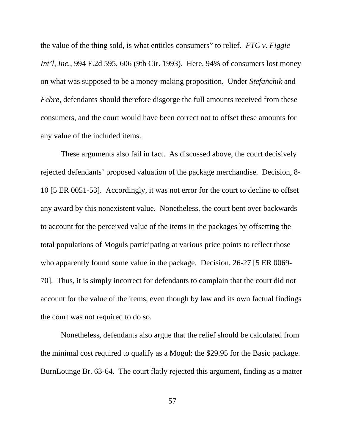the value of the thing sold, is what entitles consumers" to relief. *FTC v. Figgie Int'l, Inc.*, 994 F.2d 595, 606 (9th Cir. 1993). Here, 94% of consumers lost money on what was supposed to be a money-making proposition. Under *Stefanchik* and *Febre*, defendants should therefore disgorge the full amounts received from these consumers, and the court would have been correct not to offset these amounts for any value of the included items.

These arguments also fail in fact. As discussed above, the court decisively rejected defendants' proposed valuation of the package merchandise. Decision, 8- 10 [5 ER 0051-53]. Accordingly, it was not error for the court to decline to offset any award by this nonexistent value. Nonetheless, the court bent over backwards to account for the perceived value of the items in the packages by offsetting the total populations of Moguls participating at various price points to reflect those who apparently found some value in the package. Decision, 26-27 [5 ER 0069-70]. Thus, it is simply incorrect for defendants to complain that the court did not account for the value of the items, even though by law and its own factual findings the court was not required to do so.

Nonetheless, defendants also argue that the relief should be calculated from the minimal cost required to qualify as a Mogul: the \$29.95 for the Basic package. BurnLounge Br. 63-64. The court flatly rejected this argument, finding as a matter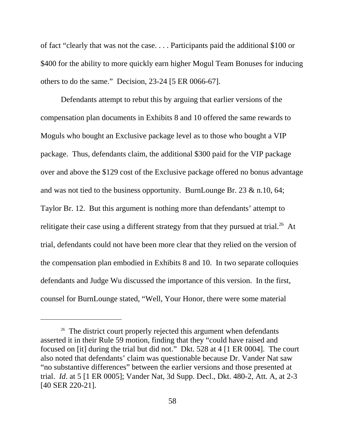of fact "clearly that was not the case. . . . Participants paid the additional \$100 or \$400 for the ability to more quickly earn higher Mogul Team Bonuses for inducing others to do the same." Decision, 23-24 [5 ER 0066-67].

Defendants attempt to rebut this by arguing that earlier versions of the compensation plan documents in Exhibits 8 and 10 offered the same rewards to Moguls who bought an Exclusive package level as to those who bought a VIP package. Thus, defendants claim, the additional \$300 paid for the VIP package over and above the \$129 cost of the Exclusive package offered no bonus advantage and was not tied to the business opportunity. BurnLounge Br. 23 & n.10, 64; Taylor Br. 12. But this argument is nothing more than defendants' attempt to relitigate their case using a different strategy from that they pursued at trial.<sup>26</sup> At trial, defendants could not have been more clear that they relied on the version of the compensation plan embodied in Exhibits 8 and 10. In two separate colloquies defendants and Judge Wu discussed the importance of this version. In the first, counsel for BurnLounge stated, "Well, Your Honor, there were some material

<sup>&</sup>lt;sup>26</sup> The district court properly rejected this argument when defendants asserted it in their Rule 59 motion, finding that they "could have raised and focused on [it] during the trial but did not." Dkt. 528 at 4 [1 ER 0004]. The court also noted that defendants' claim was questionable because Dr. Vander Nat saw "no substantive differences" between the earlier versions and those presented at trial. *Id*. at 5 [1 ER 0005]; Vander Nat, 3d Supp. Decl., Dkt. 480-2, Att. A, at 2-3 [40 SER 220-21].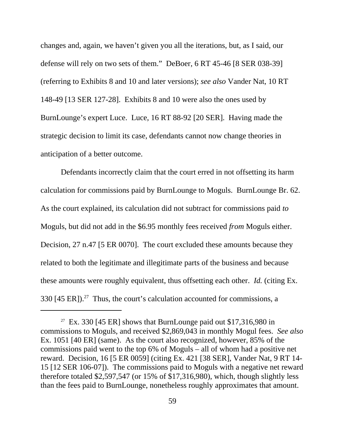changes and, again, we haven't given you all the iterations, but, as I said, our defense will rely on two sets of them." DeBoer, 6 RT 45-46 [8 SER 038-39] (referring to Exhibits 8 and 10 and later versions); *see also* Vander Nat, 10 RT 148-49 [13 SER 127-28]. Exhibits 8 and 10 were also the ones used by BurnLounge's expert Luce. Luce, 16 RT 88-92 [20 SER]. Having made the strategic decision to limit its case, defendants cannot now change theories in anticipation of a better outcome.

Defendants incorrectly claim that the court erred in not offsetting its harm calculation for commissions paid by BurnLounge to Moguls. BurnLounge Br. 62. As the court explained, its calculation did not subtract for commissions paid *to* Moguls, but did not add in the \$6.95 monthly fees received *from* Moguls either. Decision, 27 n.47 [5 ER 0070]. The court excluded these amounts because they related to both the legitimate and illegitimate parts of the business and because these amounts were roughly equivalent, thus offsetting each other. *Id.* (citing Ex. 330 [45 ER]).<sup>27</sup> Thus, the court's calculation accounted for commissions, a

<sup>&</sup>lt;sup>27</sup> Ex. 330 [45 ER] shows that BurnLounge paid out \$17,316,980 in commissions to Moguls, and received \$2,869,043 in monthly Mogul fees. *See also* Ex. 1051 [40 ER] (same). As the court also recognized, however, 85% of the commissions paid went to the top 6% of Moguls – all of whom had a positive net reward. Decision, 16 [5 ER 0059] (citing Ex. 421 [38 SER], Vander Nat, 9 RT 14- 15 [12 SER 106-07]). The commissions paid to Moguls with a negative net reward therefore totaled \$2,597,547 (or 15% of \$17,316,980), which, though slightly less than the fees paid to BurnLounge, nonetheless roughly approximates that amount.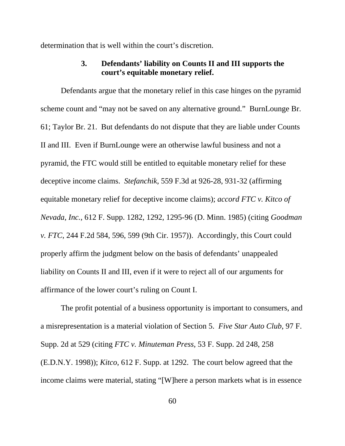determination that is well within the court's discretion.

# **3. Defendants' liability on Counts II and III supports the court's equitable monetary relief.**

Defendants argue that the monetary relief in this case hinges on the pyramid scheme count and "may not be saved on any alternative ground." BurnLounge Br. 61; Taylor Br. 21. But defendants do not dispute that they are liable under Counts II and III. Even if BurnLounge were an otherwise lawful business and not a pyramid, the FTC would still be entitled to equitable monetary relief for these deceptive income claims. *Stefanchik*, 559 F.3d at 926-28, 931-32 (affirming equitable monetary relief for deceptive income claims); *accord FTC v. Kitco of Nevada, Inc.*, 612 F. Supp. 1282, 1292, 1295-96 (D. Minn. 1985) (citing *Goodman v. FTC*, 244 F.2d 584, 596, 599 (9th Cir. 1957)). Accordingly, this Court could properly affirm the judgment below on the basis of defendants' unappealed liability on Counts II and III, even if it were to reject all of our arguments for affirmance of the lower court's ruling on Count I.

The profit potential of a business opportunity is important to consumers, and a misrepresentation is a material violation of Section 5. *Five Star Auto Club*, 97 F. Supp. 2d at 529 (citing *FTC v. Minuteman Press*, 53 F. Supp. 2d 248, 258 (E.D.N.Y. 1998)); *Kitco*, 612 F. Supp. at 1292. The court below agreed that the income claims were material, stating "[W]here a person markets what is in essence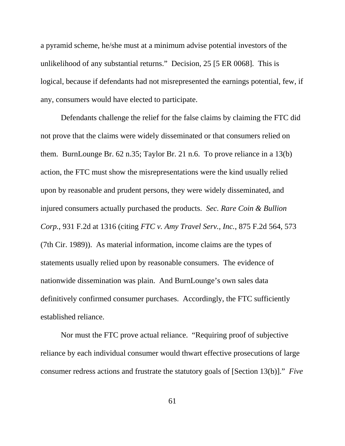a pyramid scheme, he/she must at a minimum advise potential investors of the unlikelihood of any substantial returns." Decision, 25 [5 ER 0068]. This is logical, because if defendants had not misrepresented the earnings potential, few, if any, consumers would have elected to participate.

Defendants challenge the relief for the false claims by claiming the FTC did not prove that the claims were widely disseminated or that consumers relied on them. BurnLounge Br. 62 n.35; Taylor Br. 21 n.6. To prove reliance in a 13(b) action, the FTC must show the misrepresentations were the kind usually relied upon by reasonable and prudent persons, they were widely disseminated, and injured consumers actually purchased the products. *Sec. Rare Coin & Bullion Corp.*, 931 F.2d at 1316 (citing *FTC v. Amy Travel Serv., Inc.*, 875 F.2d 564, 573 (7th Cir. 1989)). As material information, income claims are the types of statements usually relied upon by reasonable consumers. The evidence of nationwide dissemination was plain. And BurnLounge's own sales data definitively confirmed consumer purchases. Accordingly, the FTC sufficiently established reliance.

Nor must the FTC prove actual reliance. "Requiring proof of subjective reliance by each individual consumer would thwart effective prosecutions of large consumer redress actions and frustrate the statutory goals of [Section 13(b)]." *Five*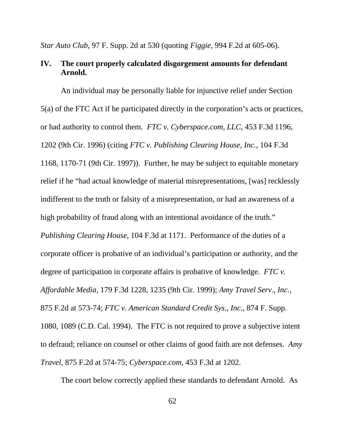*Star Auto Club*, 97 F. Supp. 2d at 530 (quoting *Figgie*, 994 F.2d at 605-06).

# **IV. The court properly calculated disgorgement amounts for defendant Arnold.**

An individual may be personally liable for injunctive relief under Section 5(a) of the FTC Act if he participated directly in the corporation's acts or practices, or had authority to control them. *FTC v. Cyberspace.com, LLC*, 453 F.3d 1196, 1202 (9th Cir. 1996) (citing *FTC v. Publishing Clearing House, Inc.*, 104 F.3d 1168, 1170-71 (9th Cir. 1997)). Further, he may be subject to equitable monetary relief if he "had actual knowledge of material misrepresentations, [was] recklessly indifferent to the truth or falsity of a misrepresentation, or had an awareness of a high probability of fraud along with an intentional avoidance of the truth." *Publishing Clearing House*, 104 F.3d at 1171. Performance of the duties of a corporate officer is probative of an individual's participation or authority, and the degree of participation in corporate affairs is probative of knowledge. *FTC v. Affordable Media*, 179 F.3d 1228, 1235 (9th Cir. 1999); *Amy Travel Serv., Inc.*, 875 F.2d at 573-74; *FTC v. American Standard Credit Sys., Inc.*, 874 F. Supp. 1080, 1089 (C.D. Cal. 1994). The FTC is not required to prove a subjective intent to defraud; reliance on counsel or other claims of good faith are not defenses. *Amy Travel*, 875 F.2d at 574-75; *Cyberspace.com*, 453 F.3d at 1202.

The court below correctly applied these standards to defendant Arnold. As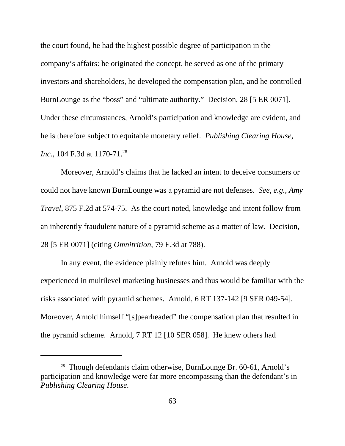the court found, he had the highest possible degree of participation in the company's affairs: he originated the concept, he served as one of the primary investors and shareholders, he developed the compensation plan, and he controlled BurnLounge as the "boss" and "ultimate authority." Decision, 28 [5 ER 0071]. Under these circumstances, Arnold's participation and knowledge are evident, and he is therefore subject to equitable monetary relief. *Publishing Clearing House, Inc.*, 104 F.3d at 1170-71.<sup>28</sup>

Moreover, Arnold's claims that he lacked an intent to deceive consumers or could not have known BurnLounge was a pyramid are not defenses. *See*, *e.g.*, *Amy Travel*, 875 F.2d at 574-75. As the court noted, knowledge and intent follow from an inherently fraudulent nature of a pyramid scheme as a matter of law. Decision, 28 [5 ER 0071] (citing *Omnitrition*, 79 F.3d at 788).

In any event, the evidence plainly refutes him. Arnold was deeply experienced in multilevel marketing businesses and thus would be familiar with the risks associated with pyramid schemes. Arnold, 6 RT 137-142 [9 SER 049-54]. Moreover, Arnold himself "[s]pearheaded" the compensation plan that resulted in the pyramid scheme. Arnold, 7 RT 12 [10 SER 058]. He knew others had

<sup>&</sup>lt;sup>28</sup> Though defendants claim otherwise, BurnLounge Br. 60-61, Arnold's participation and knowledge were far more encompassing than the defendant's in *Publishing Clearing House*.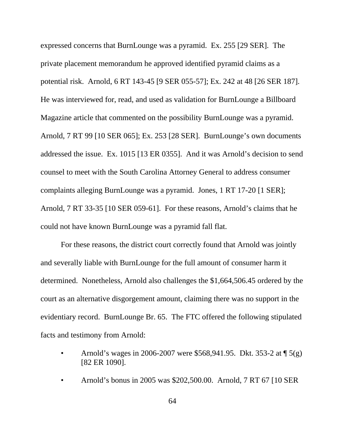expressed concerns that BurnLounge was a pyramid. Ex. 255 [29 SER]. The private placement memorandum he approved identified pyramid claims as a potential risk. Arnold, 6 RT 143-45 [9 SER 055-57]; Ex. 242 at 48 [26 SER 187]. He was interviewed for, read, and used as validation for BurnLounge a Billboard Magazine article that commented on the possibility BurnLounge was a pyramid. Arnold, 7 RT 99 [10 SER 065]; Ex. 253 [28 SER]. BurnLounge's own documents addressed the issue. Ex. 1015 [13 ER 0355]. And it was Arnold's decision to send counsel to meet with the South Carolina Attorney General to address consumer complaints alleging BurnLounge was a pyramid. Jones, 1 RT 17-20 [1 SER]; Arnold, 7 RT 33-35 [10 SER 059-61]. For these reasons, Arnold's claims that he could not have known BurnLounge was a pyramid fall flat.

For these reasons, the district court correctly found that Arnold was jointly and severally liable with BurnLounge for the full amount of consumer harm it determined. Nonetheless, Arnold also challenges the \$1,664,506.45 ordered by the court as an alternative disgorgement amount, claiming there was no support in the evidentiary record. BurnLounge Br. 65. The FTC offered the following stipulated facts and testimony from Arnold:

- Arnold's wages in 2006-2007 were \$568,941.95. Dkt. 353-2 at ¶ 5(g) [82 ER 1090].
- Arnold's bonus in 2005 was \$202,500.00. Arnold, 7 RT 67 [10 SER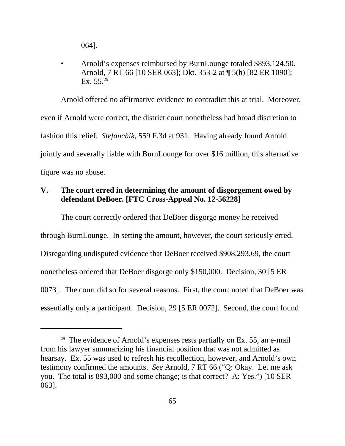064].

• Arnold's expenses reimbursed by BurnLounge totaled \$893,124.50. Arnold, 7 RT 66 [10 SER 063]; Dkt. 353-2 at ¶ 5(h) [82 ER 1090]; Ex.  $55.^{29}$ 

Arnold offered no affirmative evidence to contradict this at trial. Moreover, even if Arnold were correct, the district court nonetheless had broad discretion to fashion this relief. *Stefanchik*, 559 F.3d at 931. Having already found Arnold jointly and severally liable with BurnLounge for over \$16 million, this alternative figure was no abuse.

### **V. The court erred in determining the amount of disgorgement owed by defendant DeBoer. [FTC Cross-Appeal No. 12-56228]**

The court correctly ordered that DeBoer disgorge money he received through BurnLounge. In setting the amount, however, the court seriously erred. Disregarding undisputed evidence that DeBoer received \$908,293.69, the court nonetheless ordered that DeBoer disgorge only \$150,000. Decision, 30 [5 ER 0073]. The court did so for several reasons. First, the court noted that DeBoer was essentially only a participant. Decision, 29 [5 ER 0072]. Second, the court found

<sup>&</sup>lt;sup>29</sup> The evidence of Arnold's expenses rests partially on Ex. 55, an e-mail from his lawyer summarizing his financial position that was not admitted as hearsay. Ex. 55 was used to refresh his recollection, however, and Arnold's own testimony confirmed the amounts. *See* Arnold, 7 RT 66 ("Q: Okay. Let me ask you. The total is 893,000 and some change; is that correct? A: Yes.") [10 SER 063].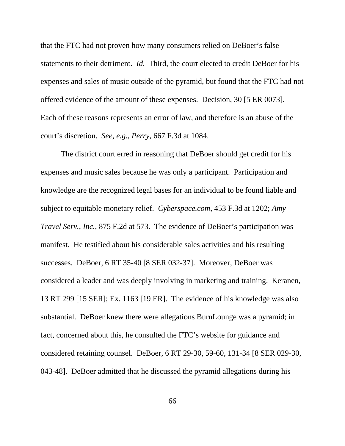that the FTC had not proven how many consumers relied on DeBoer's false statements to their detriment. *Id.* Third, the court elected to credit DeBoer for his expenses and sales of music outside of the pyramid, but found that the FTC had not offered evidence of the amount of these expenses. Decision, 30 [5 ER 0073]. Each of these reasons represents an error of law, and therefore is an abuse of the court's discretion. *See*, *e.g.*, *Perry*, 667 F.3d at 1084.

The district court erred in reasoning that DeBoer should get credit for his expenses and music sales because he was only a participant. Participation and knowledge are the recognized legal bases for an individual to be found liable and subject to equitable monetary relief. *Cyberspace.com*, 453 F.3d at 1202; *Amy Travel Serv., Inc.*, 875 F.2d at 573. The evidence of DeBoer's participation was manifest. He testified about his considerable sales activities and his resulting successes. DeBoer, 6 RT 35-40 [8 SER 032-37]. Moreover, DeBoer was considered a leader and was deeply involving in marketing and training. Keranen, 13 RT 299 [15 SER]; Ex. 1163 [19 ER]. The evidence of his knowledge was also substantial. DeBoer knew there were allegations BurnLounge was a pyramid; in fact, concerned about this, he consulted the FTC's website for guidance and considered retaining counsel. DeBoer, 6 RT 29-30, 59-60, 131-34 [8 SER 029-30, 043-48]. DeBoer admitted that he discussed the pyramid allegations during his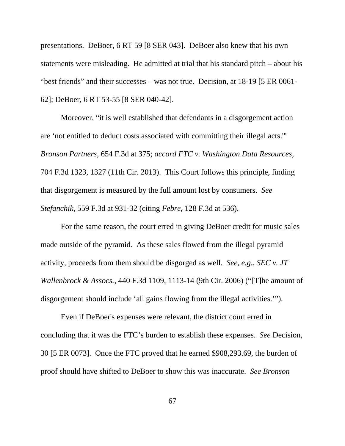presentations. DeBoer, 6 RT 59 [8 SER 043]. DeBoer also knew that his own statements were misleading. He admitted at trial that his standard pitch – about his "best friends" and their successes – was not true. Decision, at 18-19 [5 ER 0061- 62]; DeBoer, 6 RT 53-55 [8 SER 040-42].

Moreover, "it is well established that defendants in a disgorgement action are 'not entitled to deduct costs associated with committing their illegal acts.'" *Bronson Partners*, 654 F.3d at 375; *accord FTC v. Washington Data Resources*, 704 F.3d 1323, 1327 (11th Cir. 2013). This Court follows this principle, finding that disgorgement is measured by the full amount lost by consumers. *See Stefanchik*, 559 F.3d at 931-32 (citing *Febre*, 128 F.3d at 536).

For the same reason, the court erred in giving DeBoer credit for music sales made outside of the pyramid. As these sales flowed from the illegal pyramid activity, proceeds from them should be disgorged as well. *See*, *e.g.*, *SEC v. JT Wallenbrock & Assocs.*, 440 F.3d 1109, 1113-14 (9th Cir. 2006) ("[T]he amount of disgorgement should include 'all gains flowing from the illegal activities.'").

Even if DeBoer's expenses were relevant, the district court erred in concluding that it was the FTC's burden to establish these expenses. *See* Decision, 30 [5 ER 0073]. Once the FTC proved that he earned \$908,293.69, the burden of proof should have shifted to DeBoer to show this was inaccurate. *See Bronson*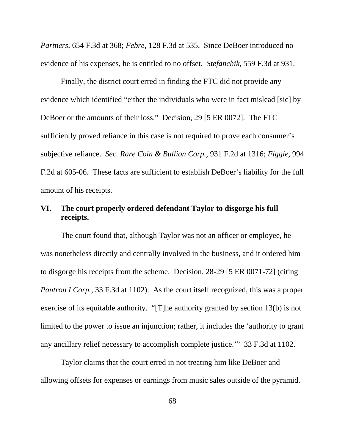*Partners*, 654 F.3d at 368; *Febre*, 128 F.3d at 535. Since DeBoer introduced no evidence of his expenses, he is entitled to no offset. *Stefanchik*, 559 F.3d at 931.

Finally, the district court erred in finding the FTC did not provide any evidence which identified "either the individuals who were in fact mislead [sic] by DeBoer or the amounts of their loss." Decision, 29 [5 ER 0072]. The FTC sufficiently proved reliance in this case is not required to prove each consumer's subjective reliance. *Sec. Rare Coin & Bullion Corp.*, 931 F.2d at 1316; *Figgie*, 994 F.2d at 605-06. These facts are sufficient to establish DeBoer's liability for the full amount of his receipts.

### **VI. The court properly ordered defendant Taylor to disgorge his full receipts.**

The court found that, although Taylor was not an officer or employee, he was nonetheless directly and centrally involved in the business, and it ordered him to disgorge his receipts from the scheme. Decision, 28-29 [5 ER 0071-72] (citing *Pantron I Corp.*, 33 F.3d at 1102). As the court itself recognized, this was a proper exercise of its equitable authority. "[T]he authority granted by section 13(b) is not limited to the power to issue an injunction; rather, it includes the 'authority to grant any ancillary relief necessary to accomplish complete justice.'" 33 F.3d at 1102.

Taylor claims that the court erred in not treating him like DeBoer and allowing offsets for expenses or earnings from music sales outside of the pyramid.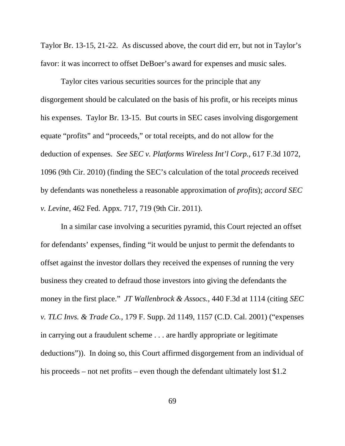Taylor Br. 13-15, 21-22. As discussed above, the court did err, but not in Taylor's favor: it was incorrect to offset DeBoer's award for expenses and music sales.

Taylor cites various securities sources for the principle that any disgorgement should be calculated on the basis of his profit, or his receipts minus his expenses. Taylor Br. 13-15. But courts in SEC cases involving disgorgement equate "profits" and "proceeds," or total receipts, and do not allow for the deduction of expenses. *See SEC v. Platforms Wireless Int'l Corp.*, 617 F.3d 1072, 1096 (9th Cir. 2010) (finding the SEC's calculation of the total *proceeds* received by defendants was nonetheless a reasonable approximation of *profits*); *accord SEC v. Levine*, 462 Fed. Appx. 717, 719 (9th Cir. 2011).

In a similar case involving a securities pyramid, this Court rejected an offset for defendants' expenses, finding "it would be unjust to permit the defendants to offset against the investor dollars they received the expenses of running the very business they created to defraud those investors into giving the defendants the money in the first place." *JT Wallenbrock & Assocs.*, 440 F.3d at 1114 (citing *SEC v. TLC Invs. & Trade Co.*, 179 F. Supp. 2d 1149, 1157 (C.D. Cal. 2001) ("expenses in carrying out a fraudulent scheme . . . are hardly appropriate or legitimate deductions")). In doing so, this Court affirmed disgorgement from an individual of his proceeds – not net profits – even though the defendant ultimately lost \$1.2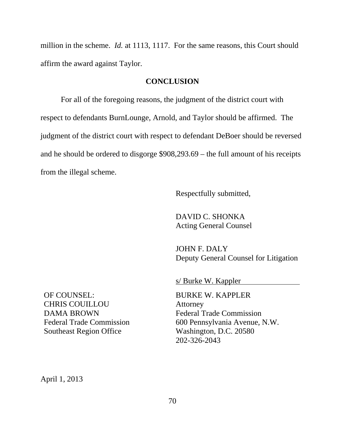million in the scheme. *Id.* at 1113, 1117. For the same reasons, this Court should affirm the award against Taylor.

#### **CONCLUSION**

For all of the foregoing reasons, the judgment of the district court with respect to defendants BurnLounge, Arnold, and Taylor should be affirmed. The judgment of the district court with respect to defendant DeBoer should be reversed and he should be ordered to disgorge \$908,293.69 – the full amount of his receipts from the illegal scheme.

Respectfully submitted,

DAVID C. SHONKA Acting General Counsel

JOHN F. DALY Deputy General Counsel for Litigation

s/ Burke W. Kappler

BURKE W. KAPPLER Attorney Federal Trade Commission 600 Pennsylvania Avenue, N.W. Washington, D.C. 20580 202-326-2043

OF COUNSEL: CHRIS COUILLOU DAMA BROWN Federal Trade Commission Southeast Region Office

April 1, 2013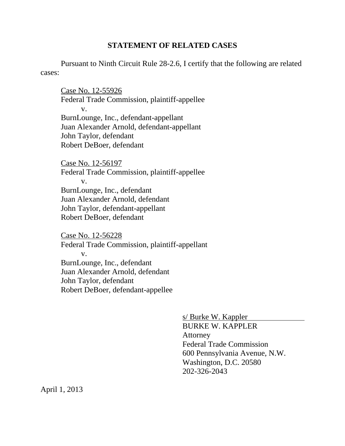#### **STATEMENT OF RELATED CASES**

Pursuant to Ninth Circuit Rule 28-2.6, I certify that the following are related cases:

Case No. 12-55926 Federal Trade Commission, plaintiff-appellee v. BurnLounge, Inc., defendant-appellant Juan Alexander Arnold, defendant-appellant John Taylor, defendant Robert DeBoer, defendant

Case No. 12-56197 Federal Trade Commission, plaintiff-appellee v. BurnLounge, Inc., defendant Juan Alexander Arnold, defendant John Taylor, defendant-appellant Robert DeBoer, defendant

Case No. 12-56228 Federal Trade Commission, plaintiff-appellant v. BurnLounge, Inc., defendant Juan Alexander Arnold, defendant John Taylor, defendant Robert DeBoer, defendant-appellee

> s/ Burke W. Kappler BURKE W. KAPPLER Attorney Federal Trade Commission 600 Pennsylvania Avenue, N.W. Washington, D.C. 20580 202-326-2043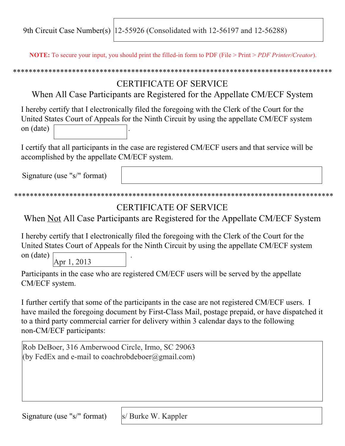9th Circuit Case Number(s) 12-55926 (Consolidated with 12-56197 and 12-56288)

**NOTE:** To secure your input, you should print the filled-in form to PDF (File > Print > *PDF Printer/Creator*).

\*\*\*\*\*\*\*\*\*\*\*\*\*\*\*\*\*\*\*\*\*\*\*\*\*\*\*\*\*\*\*\*\*\*\*\*\*\*\*\*\*\*\*\*\*\*\*\*\*\*\*\*\*\*\*\*\*\*\*\*\*\*\*\*\*\*\*\*\*\*\*\*\*\*\*\*\*\*\*\*\*

# CERTIFICATE OF SERVICE

When All Case Participants are Registered for the Appellate CM/ECF System

I hereby certify that I electronically filed the foregoing with the Clerk of the Court for the United States Court of Appeals for the Ninth Circuit by using the appellate CM/ECF system on (date) .

I certify that all participants in the case are registered CM/ECF users and that service will be accomplished by the appellate CM/ECF system.

Signature (use "s/" format)

## \*\*\*\*\*\*\*\*\*\*\*\*\*\*\*\*\*\*\*\*\*\*\*\*\*\*\*\*\*\*\*\*\*\*\*\*\*\*\*\*\*\*\*\*\*\*\*\*\*\*\*\*\*\*\*\*\*\*\*\*\*\*\*\*\*\*\*\*\*\*\*\*\*\*\*\*\*\*\*\*\*

## CERTIFICATE OF SERVICE

When Not All Case Participants are Registered for the Appellate CM/ECF System

I hereby certify that I electronically filed the foregoing with the Clerk of the Court for the United States Court of Appeals for the Ninth Circuit by using the appellate CM/ECF system

on (date) . Apr 1, 2013

Participants in the case who are registered CM/ECF users will be served by the appellate CM/ECF system.

I further certify that some of the participants in the case are not registered CM/ECF users. I have mailed the foregoing document by First-Class Mail, postage prepaid, or have dispatched it to a third party commercial carrier for delivery within 3 calendar days to the following non-CM/ECF participants:

Rob DeBoer, 316 Amberwood Circle, Irmo, SC 29063 (by FedEx and e-mail to coachrobdeboer $(\partial g$ mail.com)

Signature (use "s/" format)

s/ Burke W. Kappler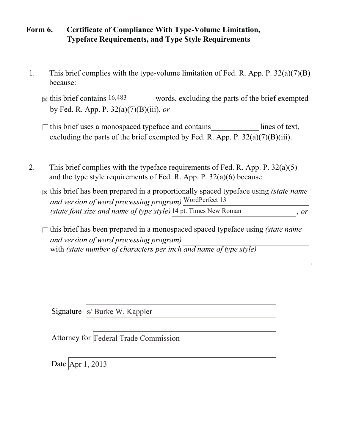### **Form 6. Certificate of Compliance With Type-Volume Limitation, Typeface Requirements, and Type Style Requirements**

- 1. This brief complies with the type-volume limitation of Fed. R. App. P. 32(a)(7)(B) because:
	- words, excluding the parts of the brief exempted by Fed. R. App. P. 32(a)(7)(B)(iii), *or*  $\overline{\mathsf{x}}$  this brief contains 16,483
	- excluding the parts of the brief exempted by Fed. R. App. P.  $32(a)(7)(B)(iii)$ .  $\Box$  this brief uses a monospaced typeface and contains lines of text,
- 2. This brief complies with the typeface requirements of Fed. R. App. P. 32(a)(5) and the type style requirements of Fed. R. App. P. 32(a)(6) because:
	- $\overline{X}$  this brief has been prepared in a proportionally spaced typeface using *(state name*) *and version of word processing program)* WordPerfect 13 *(state font size and name of type style) , or* 14 pt. Times New Roman
	- *and version of word processing program)* with *(state number of characters per inch and name of type style)*  $\Box$  this brief has been prepared in a monospaced spaced typeface using *(state name*)

*.*

Signature |s/ Burke W. Kappler

Attorney for Federal Trade Commission

Date Apr 1, 2013